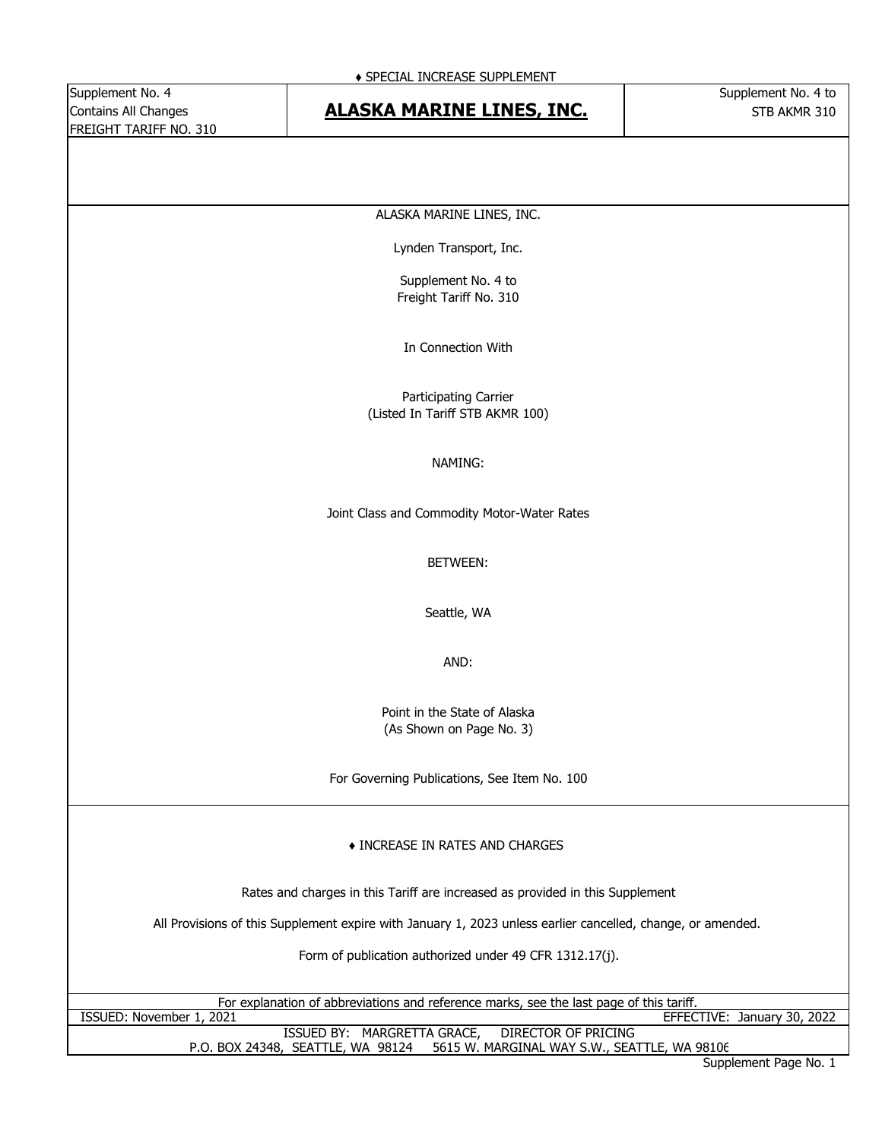#### Contains All Changes **STB ALASKA MARINE LINES, INC.** The STB AKMR 310

ALASKA MARINE LINES, INC.

Lynden Transport, Inc.

Supplement No. 4 to Freight Tariff No. 310

In Connection With

Participating Carrier (Listed In Tariff STB AKMR 100)

#### NAMING:

Joint Class and Commodity Motor-Water Rates

#### BETWEEN:

Seattle, WA

AND:

Point in the State of Alaska (As Shown on Page No. 3)

For Governing Publications, See Item No. 100

#### ♦ INCREASE IN RATES AND CHARGES

Rates and charges in this Tariff are increased as provided in this Supplement

All Provisions of this Supplement expire with January 1, 2023 unless earlier cancelled, change, or amended.

Form of publication authorized under 49 CFR 1312.17(j).

| For explanation of abbreviations and reference marks, see the last page of this tariff. |                             |
|-----------------------------------------------------------------------------------------|-----------------------------|
| ISSUED: November 1, 2021                                                                | EFFECTIVE: January 30, 2022 |
| ISSUED BY: MARGRETTA GRACE, DIRECTOR OF PRICING                                         |                             |
| P.O. BOX 24348, SEATTLE, WA 98124 5615 W. MARGINAL WAY S.W., SEATTLE, WA 98106          |                             |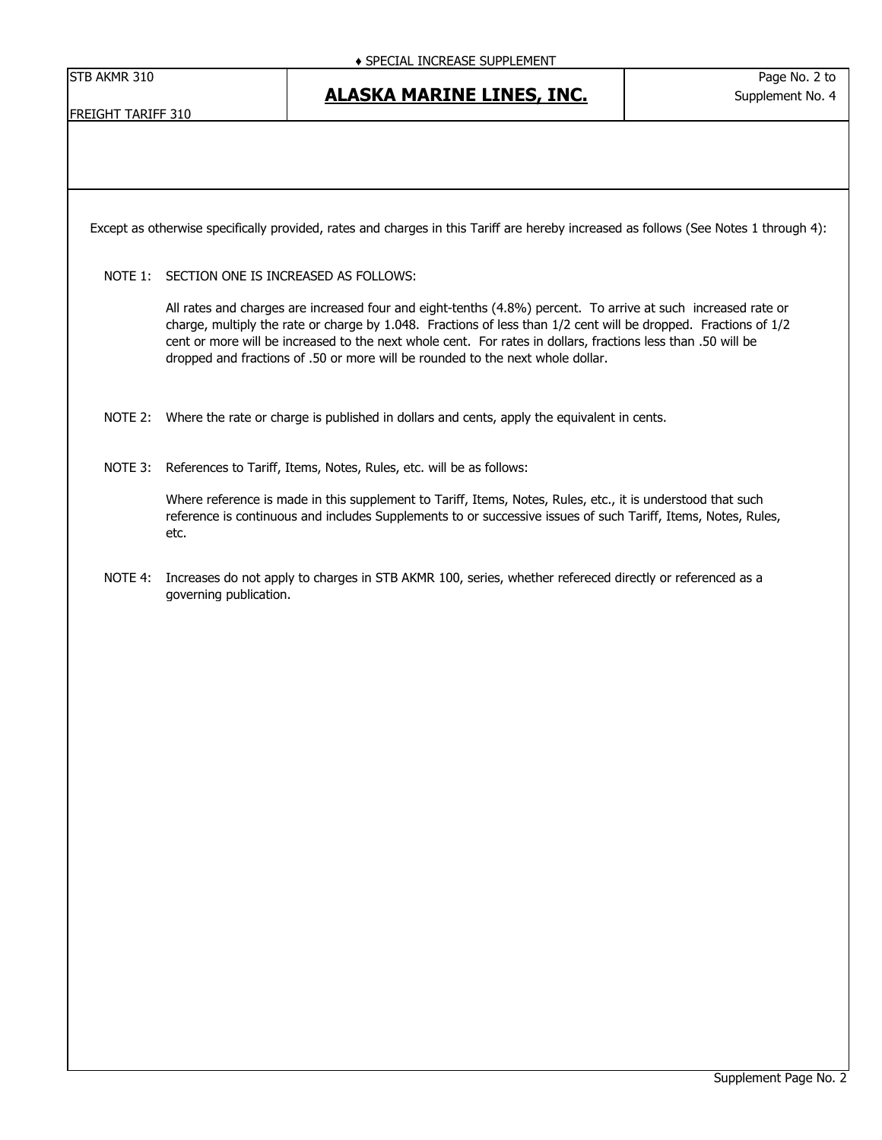FREIGHT TARIFF 310

**ALASKA MARINE LINES, INC.**

Except as otherwise specifically provided, rates and charges in this Tariff are hereby increased as follows (See Notes 1 through 4):

NOTE 1: SECTION ONE IS INCREASED AS FOLLOWS:

All rates and charges are increased four and eight-tenths (4.8%) percent. To arrive at such increased rate or charge, multiply the rate or charge by 1.048. Fractions of less than 1/2 cent will be dropped. Fractions of 1/2 cent or more will be increased to the next whole cent. For rates in dollars, fractions less than .50 will be dropped and fractions of .50 or more will be rounded to the next whole dollar.

- NOTE 2: Where the rate or charge is published in dollars and cents, apply the equivalent in cents.
- NOTE 3: References to Tariff, Items, Notes, Rules, etc. will be as follows:

Where reference is made in this supplement to Tariff, Items, Notes, Rules, etc., it is understood that such reference is continuous and includes Supplements to or successive issues of such Tariff, Items, Notes, Rules, etc.

NOTE 4: Increases do not apply to charges in STB AKMR 100, series, whether refereced directly or referenced as a governing publication.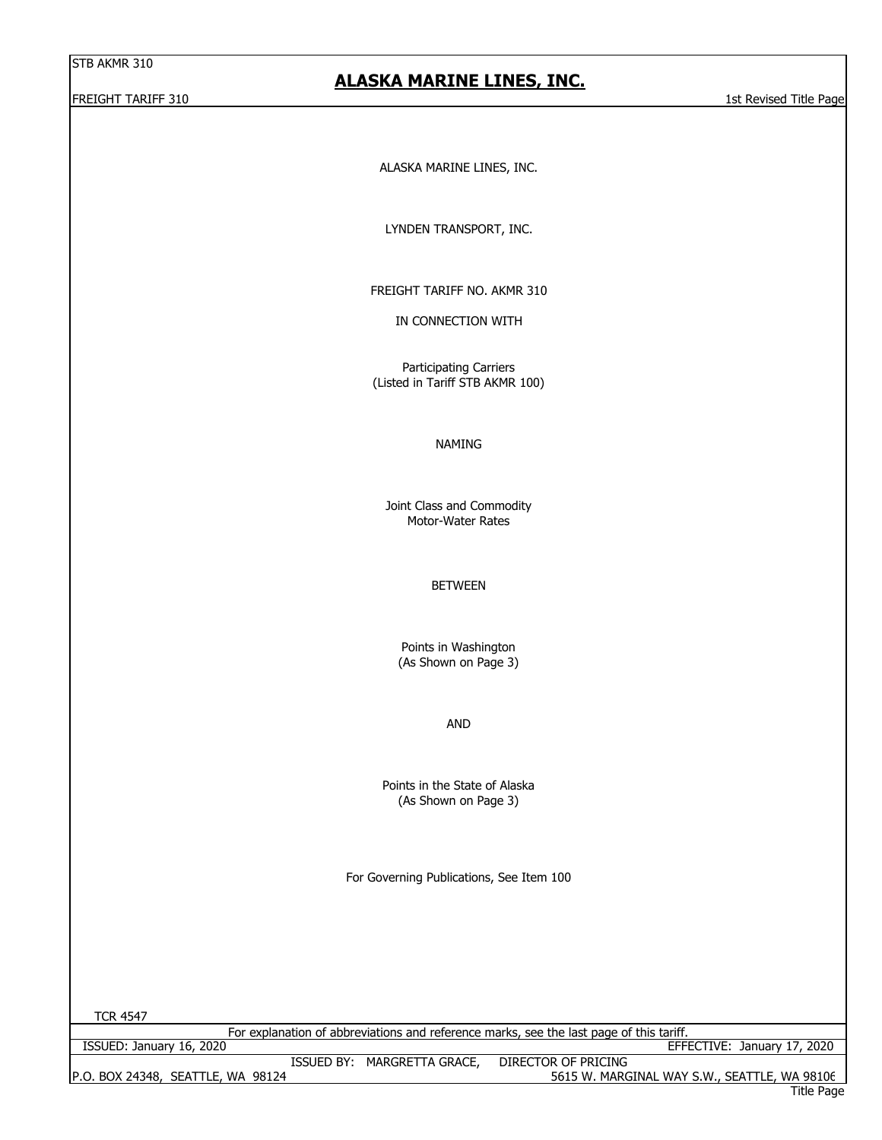#### **ALASKA MARINE LINES, INC.**

FREIGHT TARIFF 310 1st Revised Title Page 15th Revised Title Page 15th Revised Title Page 15th Revised Title Page

ALASKA MARINE LINES, INC.

LYNDEN TRANSPORT, INC.

FREIGHT TARIFF NO. AKMR 310

IN CONNECTION WITH

Participating Carriers (Listed in Tariff STB AKMR 100)

#### NAMING

Motor-Water Rates Joint Class and Commodity

BETWEEN

Points in Washington (As Shown on Page 3)

AND

Points in the State of Alaska (As Shown on Page 3)

For Governing Publications, See Item 100

TCR 4547

For explanation of abbreviations and reference marks, see the last page of this tariff.

| ISSUED: January 16, 2020          |            |                  |                     | January 17, 2020<br>EFFECTIVE:               |
|-----------------------------------|------------|------------------|---------------------|----------------------------------------------|
|                                   | ISSUED BY: | MARGRETTA GRACE, | DIRECTOR OF PRICING |                                              |
| P.O. BOX 24348, SEATTLE, WA 98124 |            |                  |                     | 5615 W. MARGINAL WAY S.W., SEATTLE, WA 98106 |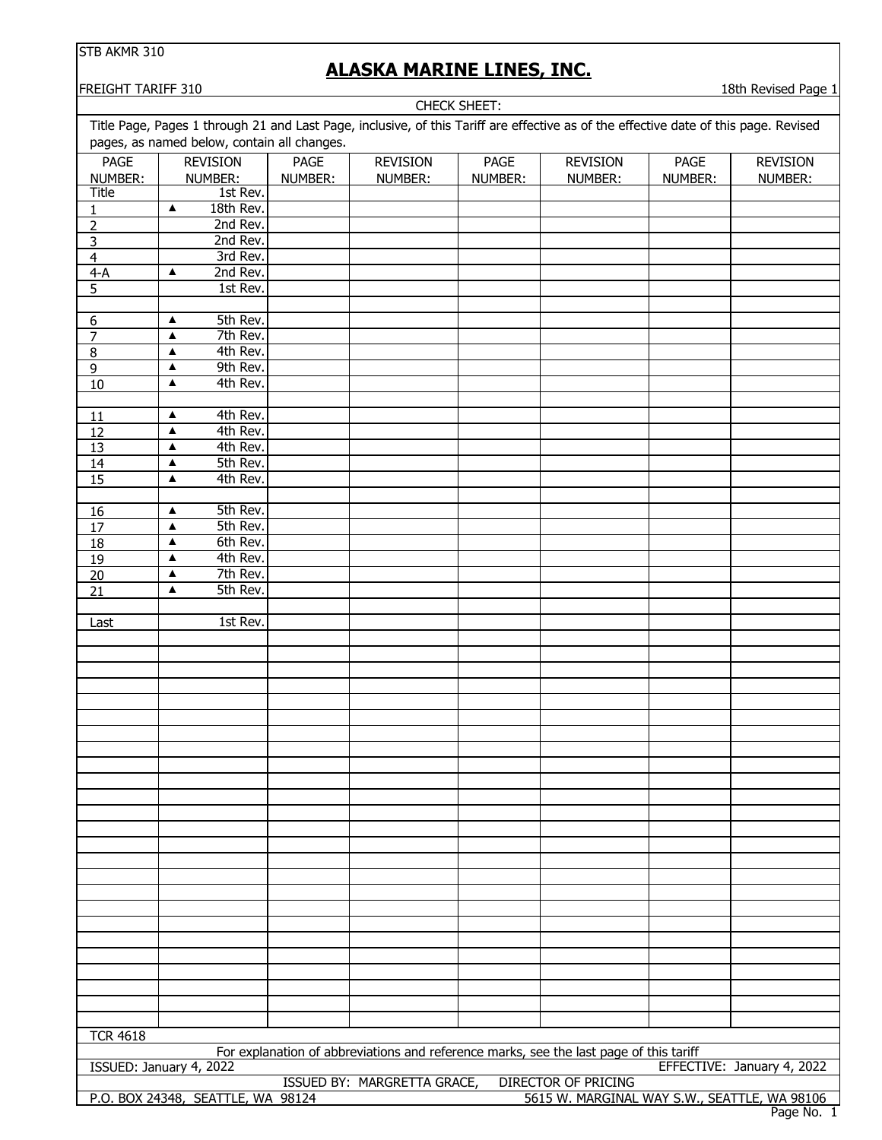# **ALASKA MARINE LINES, INC.**

**FREIGHT TARIFF 310** 18th Revised Page 1

| <b>CHECK SHEET:</b>     |                                                                                                                                      |             |                                                                                        |         |                                              |         |                            |
|-------------------------|--------------------------------------------------------------------------------------------------------------------------------------|-------------|----------------------------------------------------------------------------------------|---------|----------------------------------------------|---------|----------------------------|
|                         | Title Page, Pages 1 through 21 and Last Page, inclusive, of this Tariff are effective as of the effective date of this page. Revised |             |                                                                                        |         |                                              |         |                            |
|                         | pages, as named below, contain all changes.                                                                                          |             |                                                                                        |         |                                              |         |                            |
| <b>PAGE</b>             | <b>REVISION</b>                                                                                                                      | <b>PAGE</b> | <b>REVISION</b>                                                                        | PAGE    | <b>REVISION</b>                              | PAGE    | <b>REVISION</b>            |
|                         |                                                                                                                                      |             |                                                                                        |         |                                              |         |                            |
| NUMBER:<br>Title        | NUMBER:                                                                                                                              | NUMBER:     | NUMBER:                                                                                | NUMBER: | NUMBER:                                      | NUMBER: | NUMBER:                    |
|                         | 1st Rev.                                                                                                                             |             |                                                                                        |         |                                              |         |                            |
| 1                       | 18th Rev.<br>$\blacktriangle$                                                                                                        |             |                                                                                        |         |                                              |         |                            |
| $\overline{2}$          | 2nd Rev.                                                                                                                             |             |                                                                                        |         |                                              |         |                            |
| 3                       | 2nd Rev.                                                                                                                             |             |                                                                                        |         |                                              |         |                            |
| $\overline{\mathbf{4}}$ | 3rd Rev.                                                                                                                             |             |                                                                                        |         |                                              |         |                            |
| $4-A$                   | 2nd Rev.<br>▲                                                                                                                        |             |                                                                                        |         |                                              |         |                            |
| 5                       | 1st Rev.                                                                                                                             |             |                                                                                        |         |                                              |         |                            |
|                         |                                                                                                                                      |             |                                                                                        |         |                                              |         |                            |
| $6 \overline{}$         | 5th Rev.<br>▲                                                                                                                        |             |                                                                                        |         |                                              |         |                            |
| 7                       | 7th Rev.<br>▲                                                                                                                        |             |                                                                                        |         |                                              |         |                            |
| $\overline{8}$          | 4th Rev.<br>$\blacktriangle$                                                                                                         |             |                                                                                        |         |                                              |         |                            |
| 9                       | 9th Rev.<br>$\blacktriangle$                                                                                                         |             |                                                                                        |         |                                              |         |                            |
| 10                      | 4th Rev.<br>▲                                                                                                                        |             |                                                                                        |         |                                              |         |                            |
|                         |                                                                                                                                      |             |                                                                                        |         |                                              |         |                            |
|                         |                                                                                                                                      |             |                                                                                        |         |                                              |         |                            |
| 11                      | 4th Rev.<br>$\blacktriangle$                                                                                                         |             |                                                                                        |         |                                              |         |                            |
| 12                      | 4th Rev.<br>$\blacktriangle$                                                                                                         |             |                                                                                        |         |                                              |         |                            |
| 13                      | 4th Rev.<br>$\blacktriangle$                                                                                                         |             |                                                                                        |         |                                              |         |                            |
| $\overline{14}$         | 5th Rev.<br>$\blacktriangle$                                                                                                         |             |                                                                                        |         |                                              |         |                            |
| 15                      | 4th Rev.<br>▲                                                                                                                        |             |                                                                                        |         |                                              |         |                            |
|                         |                                                                                                                                      |             |                                                                                        |         |                                              |         |                            |
| <u>16</u>               | 5th Rev.<br>$\blacktriangle$                                                                                                         |             |                                                                                        |         |                                              |         |                            |
| $\overline{17}$         | 5th Rev.<br>$\blacktriangle$                                                                                                         |             |                                                                                        |         |                                              |         |                            |
| 18                      | 6th Rev.<br>$\blacktriangle$                                                                                                         |             |                                                                                        |         |                                              |         |                            |
| <u>19</u>               | 4th Rev.<br>$\blacktriangle$                                                                                                         |             |                                                                                        |         |                                              |         |                            |
| 20                      | 7th Rev.<br>▲                                                                                                                        |             |                                                                                        |         |                                              |         |                            |
| 21                      | $\blacktriangle$<br>5th Rev.                                                                                                         |             |                                                                                        |         |                                              |         |                            |
|                         |                                                                                                                                      |             |                                                                                        |         |                                              |         |                            |
|                         |                                                                                                                                      |             |                                                                                        |         |                                              |         |                            |
| Last                    | 1st Rev.                                                                                                                             |             |                                                                                        |         |                                              |         |                            |
|                         |                                                                                                                                      |             |                                                                                        |         |                                              |         |                            |
|                         |                                                                                                                                      |             |                                                                                        |         |                                              |         |                            |
|                         |                                                                                                                                      |             |                                                                                        |         |                                              |         |                            |
|                         |                                                                                                                                      |             |                                                                                        |         |                                              |         |                            |
|                         |                                                                                                                                      |             |                                                                                        |         |                                              |         |                            |
|                         |                                                                                                                                      |             |                                                                                        |         |                                              |         |                            |
|                         |                                                                                                                                      |             |                                                                                        |         |                                              |         |                            |
|                         |                                                                                                                                      |             |                                                                                        |         |                                              |         |                            |
|                         |                                                                                                                                      |             |                                                                                        |         |                                              |         |                            |
|                         |                                                                                                                                      |             |                                                                                        |         |                                              |         |                            |
|                         |                                                                                                                                      |             |                                                                                        |         |                                              |         |                            |
|                         |                                                                                                                                      |             |                                                                                        |         |                                              |         |                            |
|                         |                                                                                                                                      |             |                                                                                        |         |                                              |         |                            |
|                         |                                                                                                                                      |             |                                                                                        |         |                                              |         |                            |
|                         |                                                                                                                                      |             |                                                                                        |         |                                              |         |                            |
|                         |                                                                                                                                      |             |                                                                                        |         |                                              |         |                            |
|                         |                                                                                                                                      |             |                                                                                        |         |                                              |         |                            |
|                         |                                                                                                                                      |             |                                                                                        |         |                                              |         |                            |
|                         |                                                                                                                                      |             |                                                                                        |         |                                              |         |                            |
|                         |                                                                                                                                      |             |                                                                                        |         |                                              |         |                            |
|                         |                                                                                                                                      |             |                                                                                        |         |                                              |         |                            |
|                         |                                                                                                                                      |             |                                                                                        |         |                                              |         |                            |
|                         |                                                                                                                                      |             |                                                                                        |         |                                              |         |                            |
|                         |                                                                                                                                      |             |                                                                                        |         |                                              |         |                            |
|                         |                                                                                                                                      |             |                                                                                        |         |                                              |         |                            |
|                         |                                                                                                                                      |             |                                                                                        |         |                                              |         |                            |
| <b>TCR 4618</b>         |                                                                                                                                      |             |                                                                                        |         |                                              |         |                            |
|                         |                                                                                                                                      |             | For explanation of abbreviations and reference marks, see the last page of this tariff |         |                                              |         |                            |
|                         | ISSUED: January 4, 2022                                                                                                              |             |                                                                                        |         |                                              |         | EFFECTIVE: January 4, 2022 |
|                         |                                                                                                                                      |             | ISSUED BY: MARGRETTA GRACE,                                                            |         | <b>DIRECTOR OF PRICING</b>                   |         |                            |
|                         | P.O. BOX 24348, SEATTLE, WA 98124                                                                                                    |             |                                                                                        |         | 5615 W. MARGINAL WAY S.W., SEATTLE, WA 98106 |         |                            |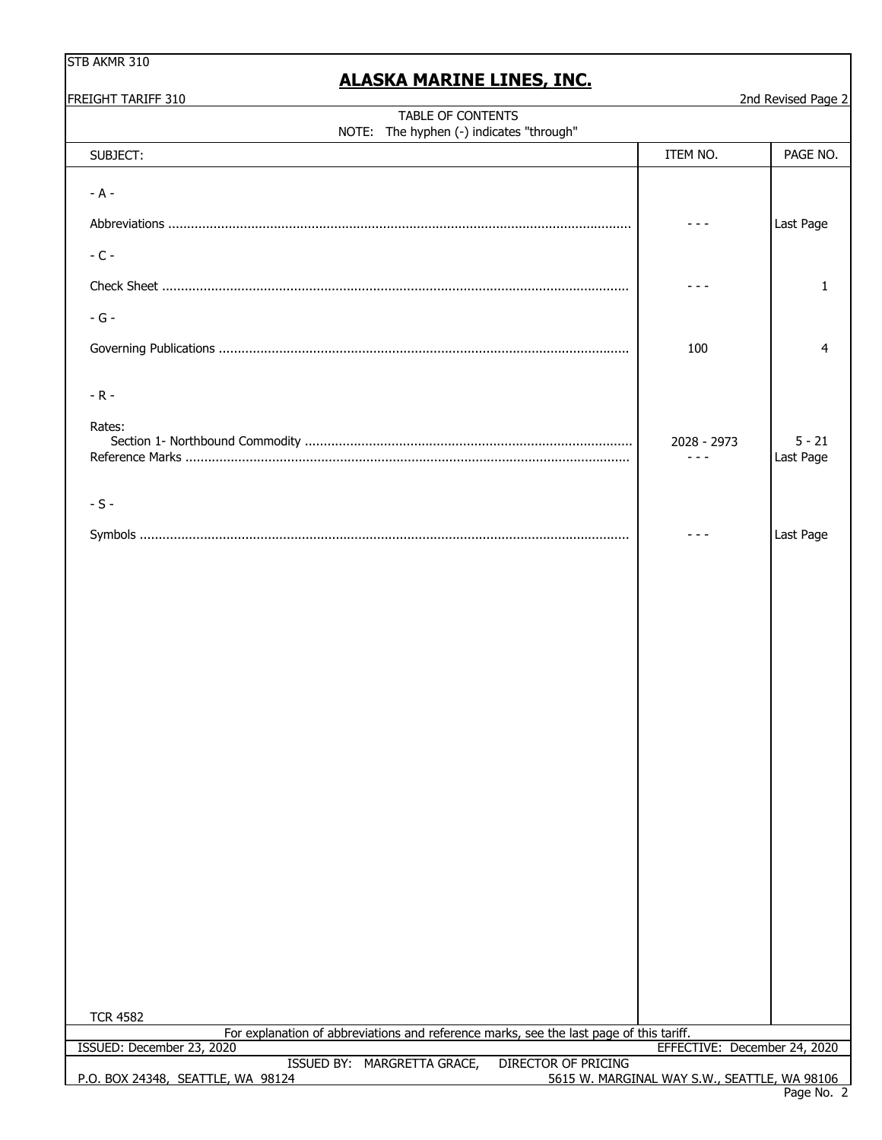| STB AKMR 310 |
|--------------|
|--------------|

| FREIGHT TARIFF 310                                                                                         |                                              | 2nd Revised Page 2    |  |
|------------------------------------------------------------------------------------------------------------|----------------------------------------------|-----------------------|--|
| TABLE OF CONTENTS<br>NOTE: The hyphen (-) indicates "through"                                              |                                              |                       |  |
| SUBJECT:                                                                                                   | ITEM NO.                                     | PAGE NO.              |  |
| $- A -$                                                                                                    |                                              | Last Page             |  |
| $-C -$                                                                                                     |                                              |                       |  |
|                                                                                                            |                                              | 1                     |  |
| $-G -$                                                                                                     |                                              |                       |  |
|                                                                                                            | 100                                          | 4                     |  |
| $-R -$                                                                                                     |                                              |                       |  |
| Rates:                                                                                                     | 2028 - 2973<br>- - -                         | $5 - 21$<br>Last Page |  |
| $-S -$                                                                                                     |                                              |                       |  |
|                                                                                                            |                                              |                       |  |
| <b>TCR 4582</b><br>For explanation of abbreviations and reference marks, see the last page of this tariff. |                                              |                       |  |
| ISSUED: December 23, 2020                                                                                  | EFFECTIVE: December 24, 2020                 |                       |  |
| <b>DIRECTOR OF PRICING</b><br>ISSUED BY: MARGRETTA GRACE,<br>P.O. BOX 24348, SEATTLE, WA 98124             | 5615 W. MARGINAL WAY S.W., SEATTLE, WA 98106 |                       |  |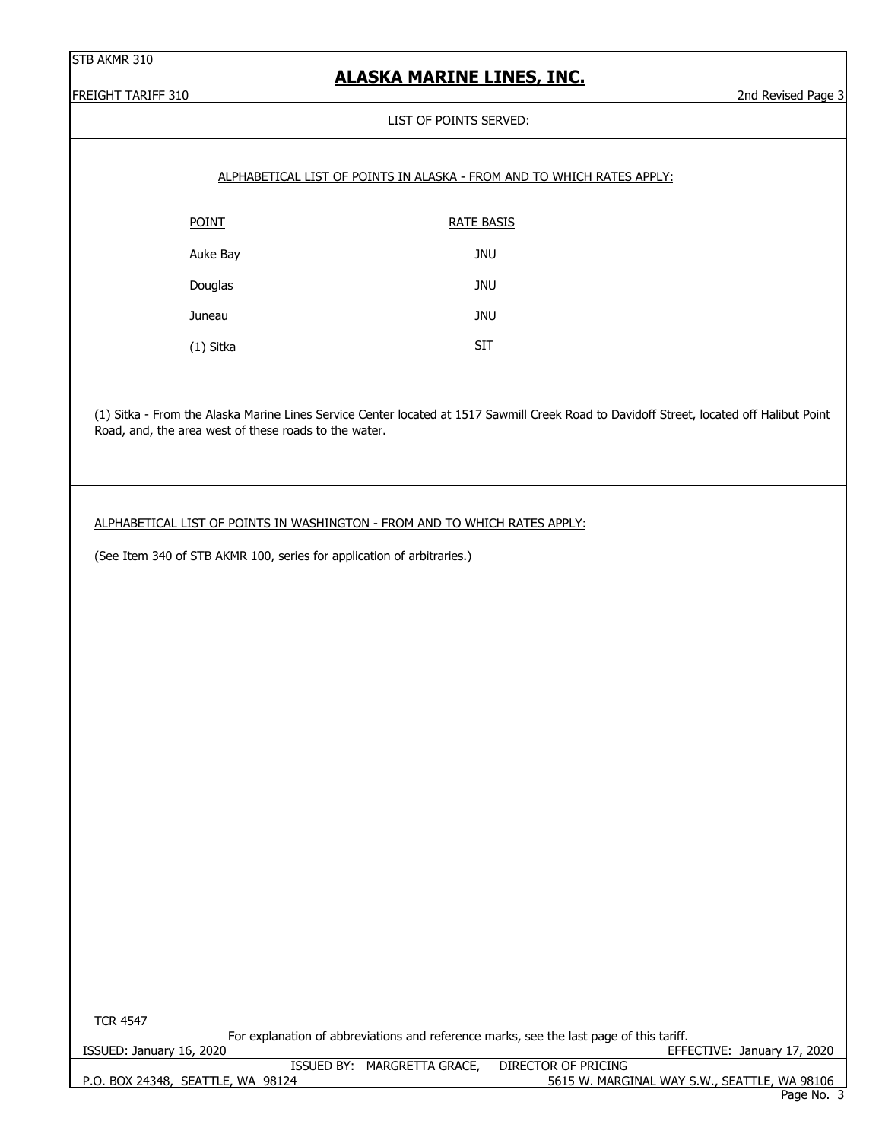## **ALASKA MARINE LINES, INC.**

FREIGHT TARIFF 310 2nd Revised Page 3

#### LIST OF POINTS SERVED:

|              | ALPHABETICAL LIST OF POINTS IN ALASKA - FROM AND TO WHICH RATES APPLY: |
|--------------|------------------------------------------------------------------------|
| <b>POINT</b> | RATE BASIS                                                             |
| Auke Bay     | <b>JNU</b>                                                             |
| Douglas      | JNU                                                                    |
| Juneau       | <b>JNU</b>                                                             |
| (1) Sitka    | SIT                                                                    |

(1) Sitka - From the Alaska Marine Lines Service Center located at 1517 Sawmill Creek Road to Davidoff Street, located off Halibut Point Road, and, the area west of these roads to the water.

#### ALPHABETICAL LIST OF POINTS IN WASHINGTON - FROM AND TO WHICH RATES APPLY:

(See Item 340 of STB AKMR 100, series for application of arbitraries.)

| <b>TCR 4547</b>                                                                         |                                              |
|-----------------------------------------------------------------------------------------|----------------------------------------------|
| For explanation of abbreviations and reference marks, see the last page of this tariff. |                                              |
| ISSUED: January 16, 2020                                                                | EFFECTIVE: January 17, 2020                  |
| ISSUED BY: MARGRETTA GRACE,                                                             | DIRECTOR OF PRICING                          |
| P.O. BOX 24348, SEATTLE, WA 98124                                                       | 5615 W. MARGINAL WAY S.W., SEATTLE, WA 98106 |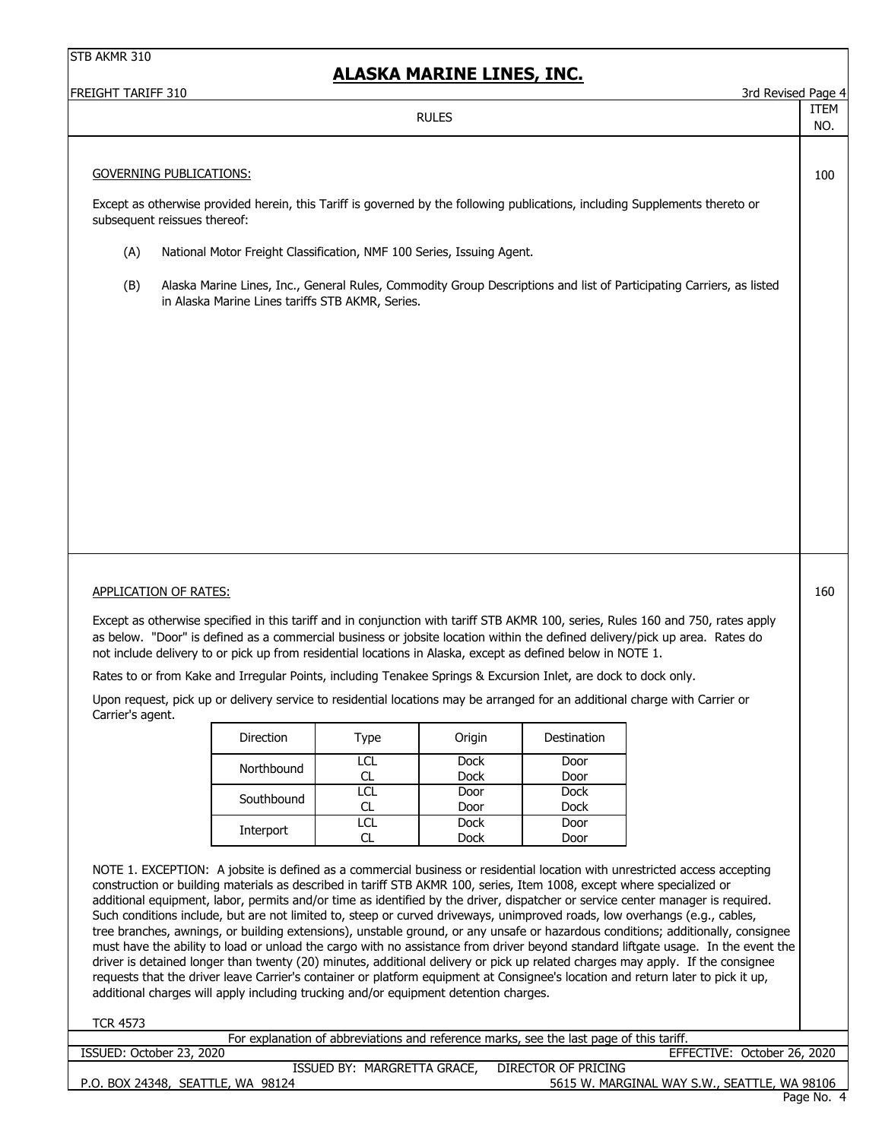| FREIGHT TARIFF 310 |                                                                                                                                                                                                                                                                                                                                                                                                                                                                                                                                                                                                                                                                                                                                                                                                                                                                                                                                                                                                                          |                             |                     |                                                                                         | 3rd Revised Page 4                                                                                                                |                    |
|--------------------|--------------------------------------------------------------------------------------------------------------------------------------------------------------------------------------------------------------------------------------------------------------------------------------------------------------------------------------------------------------------------------------------------------------------------------------------------------------------------------------------------------------------------------------------------------------------------------------------------------------------------------------------------------------------------------------------------------------------------------------------------------------------------------------------------------------------------------------------------------------------------------------------------------------------------------------------------------------------------------------------------------------------------|-----------------------------|---------------------|-----------------------------------------------------------------------------------------|-----------------------------------------------------------------------------------------------------------------------------------|--------------------|
|                    |                                                                                                                                                                                                                                                                                                                                                                                                                                                                                                                                                                                                                                                                                                                                                                                                                                                                                                                                                                                                                          |                             | <b>RULES</b>        |                                                                                         |                                                                                                                                   | <b>ITEM</b><br>NO. |
|                    |                                                                                                                                                                                                                                                                                                                                                                                                                                                                                                                                                                                                                                                                                                                                                                                                                                                                                                                                                                                                                          |                             |                     |                                                                                         |                                                                                                                                   |                    |
|                    | <b>GOVERNING PUBLICATIONS:</b>                                                                                                                                                                                                                                                                                                                                                                                                                                                                                                                                                                                                                                                                                                                                                                                                                                                                                                                                                                                           |                             |                     |                                                                                         |                                                                                                                                   | 100                |
|                    | Except as otherwise provided herein, this Tariff is governed by the following publications, including Supplements thereto or<br>subsequent reissues thereof:                                                                                                                                                                                                                                                                                                                                                                                                                                                                                                                                                                                                                                                                                                                                                                                                                                                             |                             |                     |                                                                                         |                                                                                                                                   |                    |
| (A)                | National Motor Freight Classification, NMF 100 Series, Issuing Agent.                                                                                                                                                                                                                                                                                                                                                                                                                                                                                                                                                                                                                                                                                                                                                                                                                                                                                                                                                    |                             |                     |                                                                                         |                                                                                                                                   |                    |
| (B)                | in Alaska Marine Lines tariffs STB AKMR, Series.                                                                                                                                                                                                                                                                                                                                                                                                                                                                                                                                                                                                                                                                                                                                                                                                                                                                                                                                                                         |                             |                     |                                                                                         | Alaska Marine Lines, Inc., General Rules, Commodity Group Descriptions and list of Participating Carriers, as listed              |                    |
|                    |                                                                                                                                                                                                                                                                                                                                                                                                                                                                                                                                                                                                                                                                                                                                                                                                                                                                                                                                                                                                                          |                             |                     |                                                                                         |                                                                                                                                   |                    |
|                    |                                                                                                                                                                                                                                                                                                                                                                                                                                                                                                                                                                                                                                                                                                                                                                                                                                                                                                                                                                                                                          |                             |                     |                                                                                         |                                                                                                                                   |                    |
|                    |                                                                                                                                                                                                                                                                                                                                                                                                                                                                                                                                                                                                                                                                                                                                                                                                                                                                                                                                                                                                                          |                             |                     |                                                                                         |                                                                                                                                   |                    |
|                    |                                                                                                                                                                                                                                                                                                                                                                                                                                                                                                                                                                                                                                                                                                                                                                                                                                                                                                                                                                                                                          |                             |                     |                                                                                         |                                                                                                                                   |                    |
|                    |                                                                                                                                                                                                                                                                                                                                                                                                                                                                                                                                                                                                                                                                                                                                                                                                                                                                                                                                                                                                                          |                             |                     |                                                                                         |                                                                                                                                   |                    |
|                    |                                                                                                                                                                                                                                                                                                                                                                                                                                                                                                                                                                                                                                                                                                                                                                                                                                                                                                                                                                                                                          |                             |                     |                                                                                         |                                                                                                                                   |                    |
|                    |                                                                                                                                                                                                                                                                                                                                                                                                                                                                                                                                                                                                                                                                                                                                                                                                                                                                                                                                                                                                                          |                             |                     |                                                                                         |                                                                                                                                   |                    |
|                    |                                                                                                                                                                                                                                                                                                                                                                                                                                                                                                                                                                                                                                                                                                                                                                                                                                                                                                                                                                                                                          |                             |                     |                                                                                         |                                                                                                                                   |                    |
|                    | <b>APPLICATION OF RATES:</b>                                                                                                                                                                                                                                                                                                                                                                                                                                                                                                                                                                                                                                                                                                                                                                                                                                                                                                                                                                                             |                             |                     |                                                                                         |                                                                                                                                   | 160                |
|                    | Except as otherwise specified in this tariff and in conjunction with tariff STB AKMR 100, series, Rules 160 and 750, rates apply<br>as below. "Door" is defined as a commercial business or jobsite location within the defined delivery/pick up area. Rates do<br>not include delivery to or pick up from residential locations in Alaska, except as defined below in NOTE 1.                                                                                                                                                                                                                                                                                                                                                                                                                                                                                                                                                                                                                                           |                             |                     |                                                                                         |                                                                                                                                   |                    |
|                    | Rates to or from Kake and Irregular Points, including Tenakee Springs & Excursion Inlet, are dock to dock only.                                                                                                                                                                                                                                                                                                                                                                                                                                                                                                                                                                                                                                                                                                                                                                                                                                                                                                          |                             |                     |                                                                                         |                                                                                                                                   |                    |
| Carrier's agent.   | Upon request, pick up or delivery service to residential locations may be arranged for an additional charge with Carrier or                                                                                                                                                                                                                                                                                                                                                                                                                                                                                                                                                                                                                                                                                                                                                                                                                                                                                              |                             |                     |                                                                                         |                                                                                                                                   |                    |
|                    | Direction                                                                                                                                                                                                                                                                                                                                                                                                                                                                                                                                                                                                                                                                                                                                                                                                                                                                                                                                                                                                                | Type                        | Origin              | Destination                                                                             |                                                                                                                                   |                    |
|                    | Northbound                                                                                                                                                                                                                                                                                                                                                                                                                                                                                                                                                                                                                                                                                                                                                                                                                                                                                                                                                                                                               | <b>LCL</b><br>CL.           | <b>Dock</b><br>Dock | Door<br>Door                                                                            |                                                                                                                                   |                    |
|                    | Southbound                                                                                                                                                                                                                                                                                                                                                                                                                                                                                                                                                                                                                                                                                                                                                                                                                                                                                                                                                                                                               | <b>LCL</b>                  | Door                | <b>Dock</b>                                                                             |                                                                                                                                   |                    |
|                    |                                                                                                                                                                                                                                                                                                                                                                                                                                                                                                                                                                                                                                                                                                                                                                                                                                                                                                                                                                                                                          | CL<br><b>LCL</b>            | Door<br><b>Dock</b> | <b>Dock</b><br>Door                                                                     |                                                                                                                                   |                    |
|                    | Interport                                                                                                                                                                                                                                                                                                                                                                                                                                                                                                                                                                                                                                                                                                                                                                                                                                                                                                                                                                                                                | CL                          | Dock                | Door                                                                                    |                                                                                                                                   |                    |
|                    | NOTE 1. EXCEPTION: A jobsite is defined as a commercial business or residential location with unrestricted access accepting<br>construction or building materials as described in tariff STB AKMR 100, series, Item 1008, except where specialized or<br>additional equipment, labor, permits and/or time as identified by the driver, dispatcher or service center manager is required.<br>Such conditions include, but are not limited to, steep or curved driveways, unimproved roads, low overhangs (e.g., cables,<br>tree branches, awnings, or building extensions), unstable ground, or any unsafe or hazardous conditions; additionally, consignee<br>driver is detained longer than twenty (20) minutes, additional delivery or pick up related charges may apply. If the consignee<br>requests that the driver leave Carrier's container or platform equipment at Consignee's location and return later to pick it up,<br>additional charges will apply including trucking and/or equipment detention charges. |                             |                     |                                                                                         | must have the ability to load or unload the cargo with no assistance from driver beyond standard liftgate usage. In the event the |                    |
| <b>TCR 4573</b>    |                                                                                                                                                                                                                                                                                                                                                                                                                                                                                                                                                                                                                                                                                                                                                                                                                                                                                                                                                                                                                          |                             |                     |                                                                                         |                                                                                                                                   |                    |
|                    | ISSUED: October 23, 2020                                                                                                                                                                                                                                                                                                                                                                                                                                                                                                                                                                                                                                                                                                                                                                                                                                                                                                                                                                                                 |                             |                     | For explanation of abbreviations and reference marks, see the last page of this tariff. | EFFECTIVE: October 26, 2020                                                                                                       |                    |
|                    | P.O. BOX 24348, SEATTLE, WA 98124                                                                                                                                                                                                                                                                                                                                                                                                                                                                                                                                                                                                                                                                                                                                                                                                                                                                                                                                                                                        | ISSUED BY: MARGRETTA GRACE, |                     | <b>DIRECTOR OF PRICING</b>                                                              | 5615 W. MARGINAL WAY S.W., SEATTLE, WA 98106                                                                                      |                    |
|                    |                                                                                                                                                                                                                                                                                                                                                                                                                                                                                                                                                                                                                                                                                                                                                                                                                                                                                                                                                                                                                          |                             |                     |                                                                                         |                                                                                                                                   | Page No. 4         |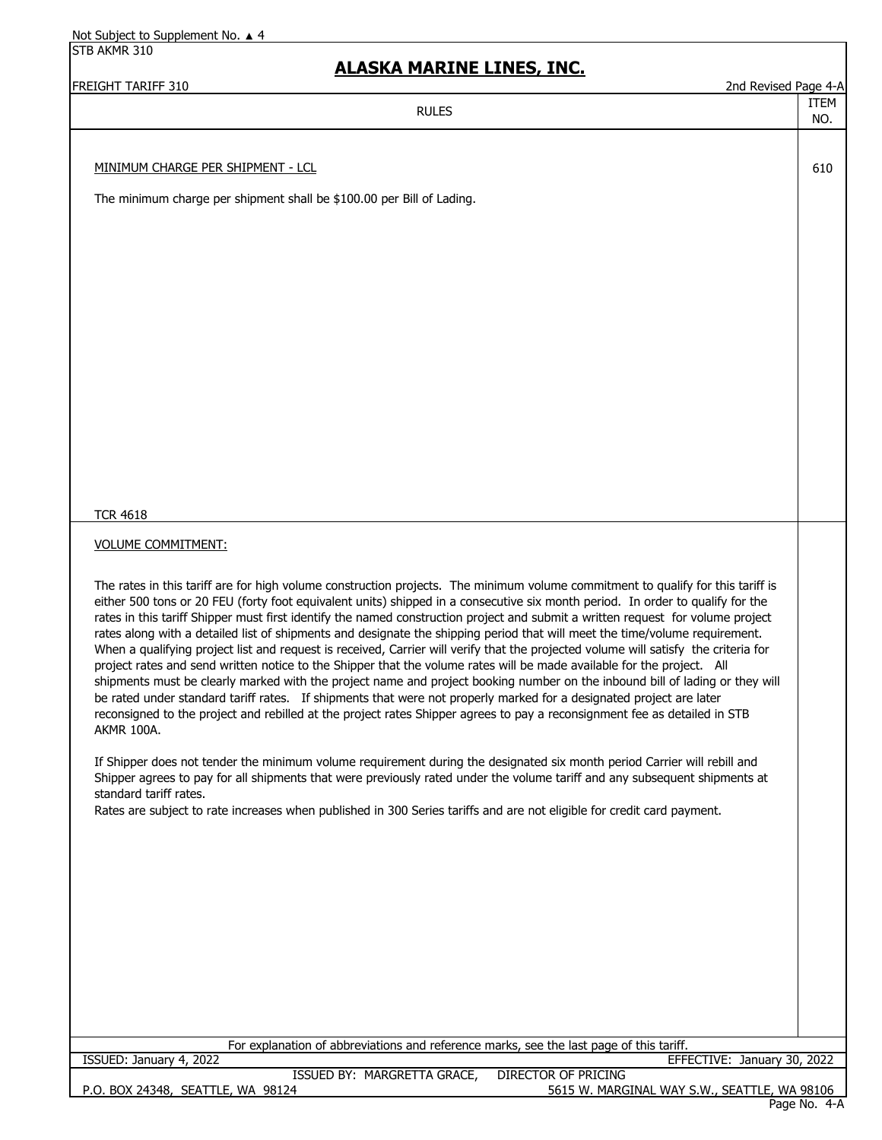STB AKMR 310

#### **ALASKA MARINE LINES, INC.**

FREIGHT TARIFF 310 2nd Revised Page 4-A

ITEM NO.

#### RULES

MINIMUM CHARGE PER SHIPMENT - LCL 610

The minimum charge per shipment shall be \$100.00 per Bill of Lading.

TCR 4618

#### VOLUME COMMITMENT:

The rates in this tariff are for high volume construction projects. The minimum volume commitment to qualify for this tariff is either 500 tons or 20 FEU (forty foot equivalent units) shipped in a consecutive six month period. In order to qualify for the rates in this tariff Shipper must first identify the named construction project and submit a written request for volume project rates along with a detailed list of shipments and designate the shipping period that will meet the time/volume requirement. When a qualifying project list and request is received, Carrier will verify that the projected volume will satisfy the criteria for project rates and send written notice to the Shipper that the volume rates will be made available for the project. All shipments must be clearly marked with the project name and project booking number on the inbound bill of lading or they will be rated under standard tariff rates. If shipments that were not properly marked for a designated project are later reconsigned to the project and rebilled at the project rates Shipper agrees to pay a reconsignment fee as detailed in STB AKMR 100A.

If Shipper does not tender the minimum volume requirement during the designated six month period Carrier will rebill and Shipper agrees to pay for all shipments that were previously rated under the volume tariff and any subsequent shipments at standard tariff rates.

Rates are subject to rate increases when published in 300 Series tariffs and are not eligible for credit card payment.

| For explanation of abbreviations and reference marks, see the last page of this tariff. |                                                     |
|-----------------------------------------------------------------------------------------|-----------------------------------------------------|
| ISSUED: January 4, 2022                                                                 | EFFECTIVE: January 30, 2022                         |
| ISSUED BY: MARGRETTA GRACE,                                                             | DIRECTOR OF PRICING                                 |
| P.O. BOX 24348, SEATTLE, WA 98124                                                       | 5615 W. MARGINAL WAY S.W., SEATTLE, WA 98106        |
|                                                                                         | $D$ <sub>200</sub> $N_0$ $4$ <sub>-</sub> $\Lambda$ |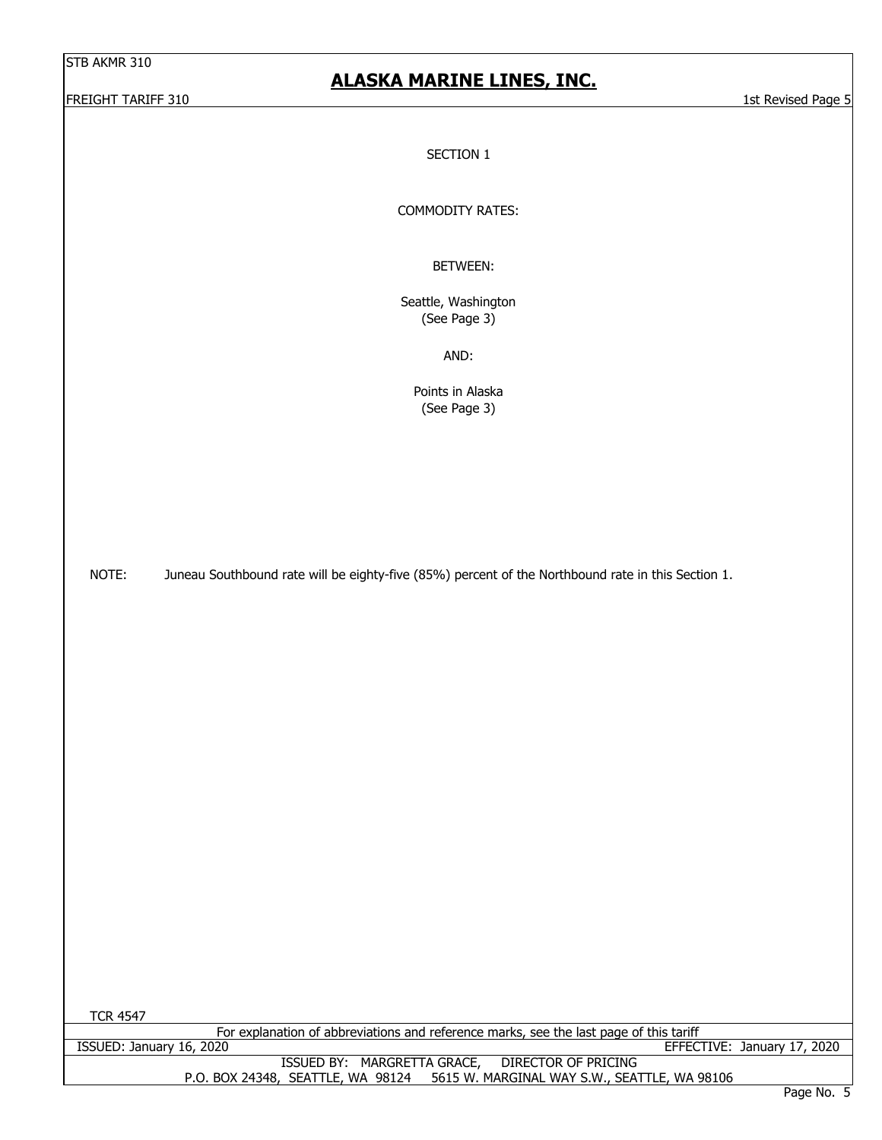# **ALASKA MARINE LINES, INC.**

FREIGHT TARIFF 310 1st Revised Page 5

SECTION 1

COMMODITY RATES:

BETWEEN:

Seattle, Washington (See Page 3)

AND:

Points in Alaska (See Page 3)

NOTE: Juneau Southbound rate will be eighty-five (85%) percent of the Northbound rate in this Section 1.

TCR 4547

For explanation of abbreviations and reference marks, see the last page of this tariff<br>EFFEC

P.O. BOX 24348, SEATTLE, WA 98124 5615 W. MARGINAL WAY S.W., SEATTLE, WA 98106 EFFECTIVE: January 17, 2020 ISSUED BY: MARGRETTA GRACE, DIRECTOR OF PRICING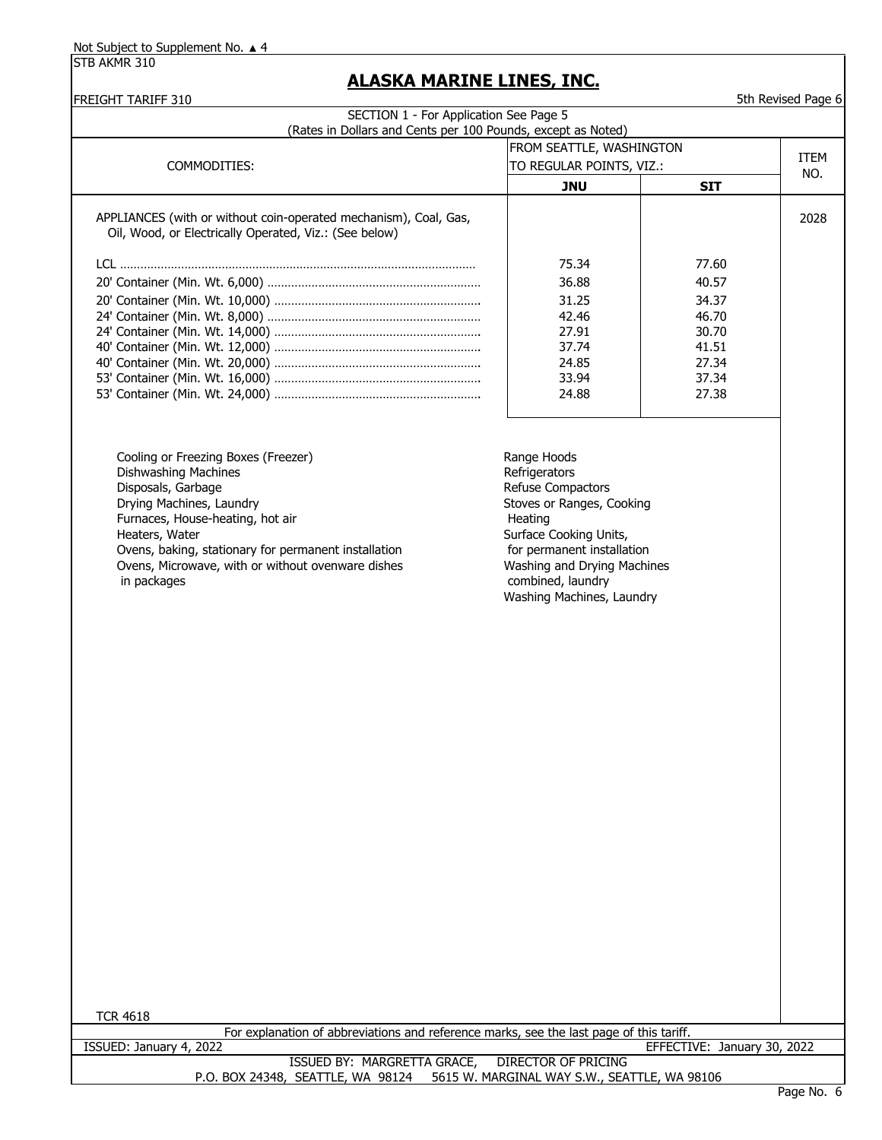| <b>FREIGHT TARIFF 310</b>                                                                                                  |                                                      |                             | 5th Revised Page 6 |
|----------------------------------------------------------------------------------------------------------------------------|------------------------------------------------------|-----------------------------|--------------------|
| SECTION 1 - For Application See Page 5                                                                                     |                                                      |                             |                    |
| (Rates in Dollars and Cents per 100 Pounds, except as Noted)                                                               |                                                      |                             |                    |
|                                                                                                                            | FROM SEATTLE, WASHINGTON<br>TO REGULAR POINTS, VIZ.: |                             | <b>ITEM</b>        |
| COMMODITIES:                                                                                                               |                                                      | NO.                         |                    |
|                                                                                                                            | <b>JNU</b>                                           | <b>SIT</b>                  |                    |
| APPLIANCES (with or without coin-operated mechanism), Coal, Gas,<br>Oil, Wood, or Electrically Operated, Viz.: (See below) |                                                      |                             | 2028               |
|                                                                                                                            |                                                      |                             |                    |
|                                                                                                                            | 75.34                                                | 77.60                       |                    |
|                                                                                                                            | 36.88                                                | 40.57                       |                    |
|                                                                                                                            | 31.25                                                | 34.37                       |                    |
|                                                                                                                            | 42.46                                                | 46.70                       |                    |
|                                                                                                                            | 27.91                                                | 30.70                       |                    |
|                                                                                                                            | 37.74                                                | 41.51                       |                    |
|                                                                                                                            | 24.85                                                | 27.34                       |                    |
|                                                                                                                            | 33.94                                                | 37.34                       |                    |
|                                                                                                                            | 24.88                                                | 27.38                       |                    |
| Cooling or Freezing Boxes (Freezer)                                                                                        | Range Hoods                                          |                             |                    |
| Dishwashing Machines<br>Disposals, Garbage                                                                                 | Refrigerators<br>Refuse Compactors                   |                             |                    |
| Drying Machines, Laundry<br>Furnaces, House-heating, hot air                                                               | Stoves or Ranges, Cooking                            |                             |                    |
| Heaters, Water                                                                                                             | Heating<br>Surface Cooking Units,                    |                             |                    |
| Ovens, baking, stationary for permanent installation                                                                       | for permanent installation                           |                             |                    |
| Ovens, Microwave, with or without ovenware dishes<br>in packages                                                           | Washing and Drying Machines<br>combined, laundry     |                             |                    |
|                                                                                                                            | Washing Machines, Laundry                            |                             |                    |
|                                                                                                                            |                                                      |                             |                    |
|                                                                                                                            |                                                      |                             |                    |
|                                                                                                                            |                                                      |                             |                    |
|                                                                                                                            |                                                      |                             |                    |
|                                                                                                                            |                                                      |                             |                    |
|                                                                                                                            |                                                      |                             |                    |
|                                                                                                                            |                                                      |                             |                    |
|                                                                                                                            |                                                      |                             |                    |
|                                                                                                                            |                                                      |                             |                    |
|                                                                                                                            |                                                      |                             |                    |
|                                                                                                                            |                                                      |                             |                    |
|                                                                                                                            |                                                      |                             |                    |
|                                                                                                                            |                                                      |                             |                    |
|                                                                                                                            |                                                      |                             |                    |
|                                                                                                                            |                                                      |                             |                    |
|                                                                                                                            |                                                      |                             |                    |
|                                                                                                                            |                                                      |                             |                    |
|                                                                                                                            |                                                      |                             |                    |
|                                                                                                                            |                                                      |                             |                    |
| <b>TCR 4618</b><br>For explanation of abbreviations and reference marks, see the last page of this tariff.                 |                                                      |                             |                    |
| ISSUED: January 4, 2022                                                                                                    |                                                      | EFFECTIVE: January 30, 2022 |                    |
| ISSUED BY: MARGRETTA GRACE,                                                                                                | DIRECTOR OF PRICING                                  |                             |                    |
| P.O. BOX 24348, SEATTLE, WA 98124                                                                                          | 5615 W. MARGINAL WAY S.W., SEATTLE, WA 98106         |                             |                    |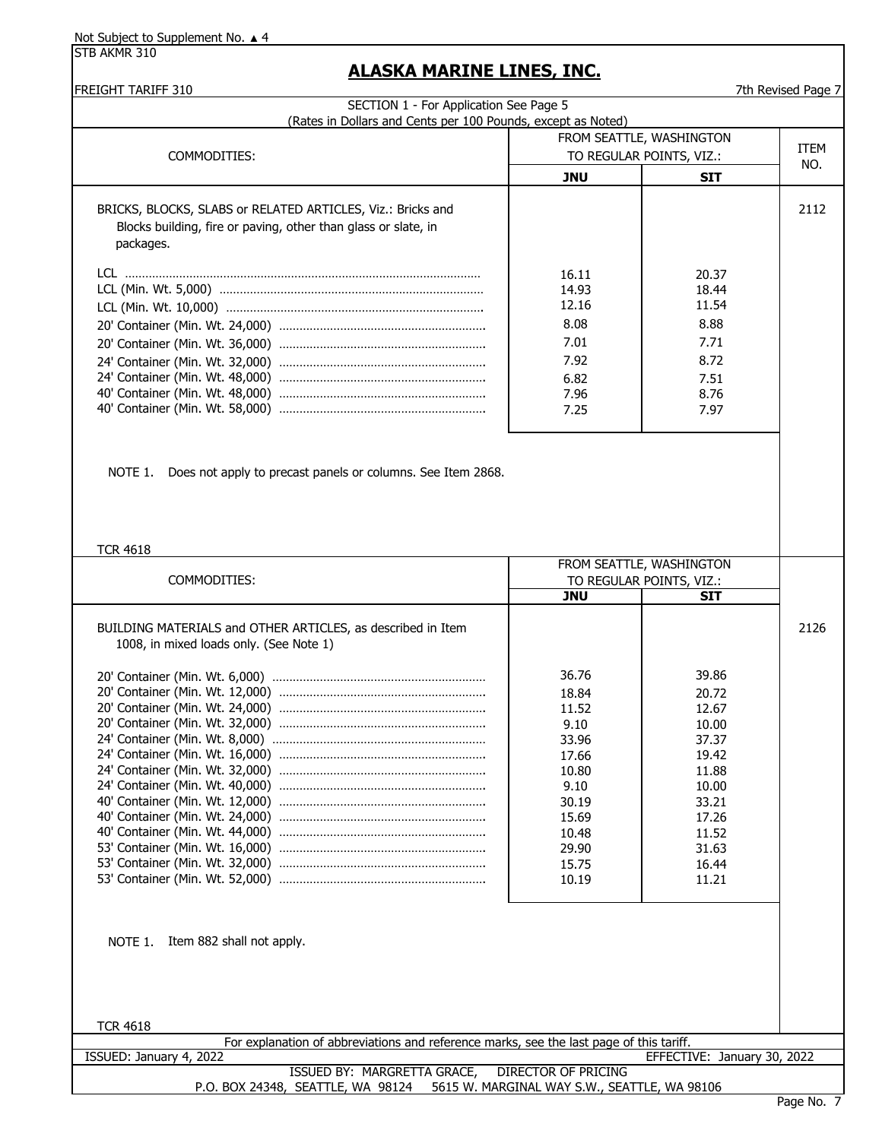STB AKMR 310

#### **ALASKA MARINE LINES, INC.**

FREIGHT TARIFF 310 **FREIGHT TARIFF 310** The state of the state of the state of the state of the state of the state of the state of the state of the state of the state of the state of the state of the state of the state of

| FROM SEATTLE, WASHINGTON<br>TO REGULAR POINTS, VIZ.:<br>JNU             | <b>SIT</b>                                                              | ITEM<br>NO. |
|-------------------------------------------------------------------------|-------------------------------------------------------------------------|-------------|
|                                                                         |                                                                         |             |
|                                                                         |                                                                         |             |
|                                                                         |                                                                         | 2112        |
| 16.11<br>14.93<br>12.16<br>8.08<br>7.01<br>7.92<br>6.82<br>7.96<br>7.25 | 20.37<br>18.44<br>11.54<br>8.88<br>7.71<br>8.72<br>7.51<br>8.76<br>7.97 |             |
|                                                                         |                                                                         |             |

NOTE 1. Does not apply to precast panels or columns. See Item 2868.

#### TCR 4618

|                                                                                                        |            | FROM SEATTLE, WASHINGTON |      |
|--------------------------------------------------------------------------------------------------------|------------|--------------------------|------|
| COMMODITIES:                                                                                           |            | TO REGULAR POINTS, VIZ.: |      |
|                                                                                                        | <b>JNU</b> | <b>SIT</b>               |      |
| BUILDING MATERIALS and OTHER ARTICLES, as described in Item<br>1008, in mixed loads only. (See Note 1) |            |                          | 2126 |
|                                                                                                        | 36.76      | 39.86                    |      |
|                                                                                                        | 18.84      | 20.72                    |      |
|                                                                                                        | 11.52      | 12.67                    |      |
|                                                                                                        | 9.10       | 10.00                    |      |
|                                                                                                        | 33.96      | 37.37                    |      |
|                                                                                                        | 17.66      | 19.42                    |      |
|                                                                                                        | 10.80      | 11.88                    |      |
|                                                                                                        | 9.10       | 10.00                    |      |
|                                                                                                        | 30.19      | 33.21                    |      |
|                                                                                                        | 15.69      | 17.26                    |      |
|                                                                                                        | 10.48      | 11.52                    |      |
|                                                                                                        | 29.90      | 31.63                    |      |
|                                                                                                        | 15.75      | 16.44                    |      |
|                                                                                                        | 10.19      | 11.21                    |      |
|                                                                                                        |            |                          |      |
|                                                                                                        |            |                          |      |
| NOTE 1. Item 882 shall not apply.                                                                      |            |                          |      |
|                                                                                                        |            |                          |      |
|                                                                                                        |            |                          |      |
|                                                                                                        |            |                          |      |
|                                                                                                        |            |                          |      |
| <b>TCR 4618</b>                                                                                        |            |                          |      |

| For explanation of abbreviations and reference marks, see the last page of this tariff. |                             |
|-----------------------------------------------------------------------------------------|-----------------------------|
| ISSUED: January 4, 2022                                                                 | EFFECTIVE: January 30, 2022 |
| ISSUED BY: MARGRETTA GRACE,<br>DIRECTOR OF PRICING                                      |                             |
| 5615 W. MARGINAL WAY S.W., SEATTLE, WA 98106<br>P.O. BOX 24348, SEATTLE, WA 98124       |                             |
|                                                                                         | $\sim$ $\sim$               |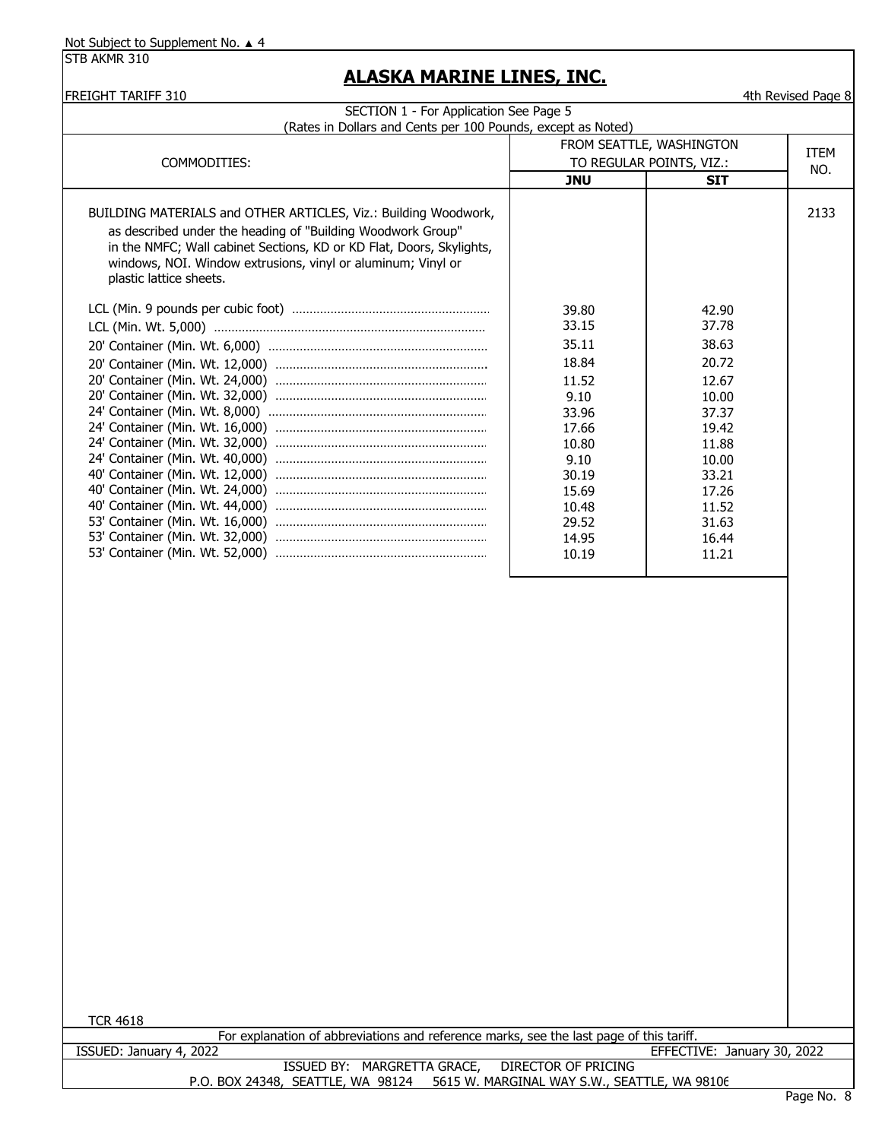STB AKMR 310

| (Rates in Dollars and Cents per 100 Pounds, except as Noted)                                               | SECTION 1 - For Application See Page 5 |                          |             |  |
|------------------------------------------------------------------------------------------------------------|----------------------------------------|--------------------------|-------------|--|
|                                                                                                            | FROM SEATTLE, WASHINGTON               |                          | <b>ITEM</b> |  |
| COMMODITIES:                                                                                               |                                        | TO REGULAR POINTS, VIZ.: | NO.         |  |
|                                                                                                            | <b>JNU</b>                             | <b>SIT</b>               |             |  |
| BUILDING MATERIALS and OTHER ARTICLES, Viz.: Building Woodwork,                                            |                                        |                          | 2133        |  |
| as described under the heading of "Building Woodwork Group"                                                |                                        |                          |             |  |
| in the NMFC; Wall cabinet Sections, KD or KD Flat, Doors, Skylights,                                       |                                        |                          |             |  |
| windows, NOI. Window extrusions, vinyl or aluminum; Vinyl or                                               |                                        |                          |             |  |
| plastic lattice sheets.                                                                                    |                                        |                          |             |  |
|                                                                                                            | 39.80                                  | 42.90                    |             |  |
|                                                                                                            | 33.15                                  | 37.78                    |             |  |
|                                                                                                            | 35.11                                  | 38.63                    |             |  |
|                                                                                                            |                                        |                          |             |  |
|                                                                                                            | 18.84                                  | 20.72                    |             |  |
|                                                                                                            | 11.52                                  | 12.67                    |             |  |
|                                                                                                            | 9.10                                   | 10.00                    |             |  |
|                                                                                                            | 33.96<br>17.66                         | 37.37<br>19.42           |             |  |
|                                                                                                            | 10.80                                  | 11.88                    |             |  |
|                                                                                                            | 9.10                                   | 10.00                    |             |  |
|                                                                                                            | 30.19                                  | 33.21                    |             |  |
|                                                                                                            | 15.69                                  | 17.26                    |             |  |
|                                                                                                            | 10.48                                  | 11.52                    |             |  |
|                                                                                                            | 29.52                                  | 31.63                    |             |  |
|                                                                                                            | 14.95                                  | 16.44                    |             |  |
|                                                                                                            | 10.19                                  | 11.21                    |             |  |
|                                                                                                            |                                        |                          |             |  |
|                                                                                                            |                                        |                          |             |  |
| <b>TCR 4618</b><br>For explanation of abbreviations and reference marks, see the last page of this tariff. |                                        |                          |             |  |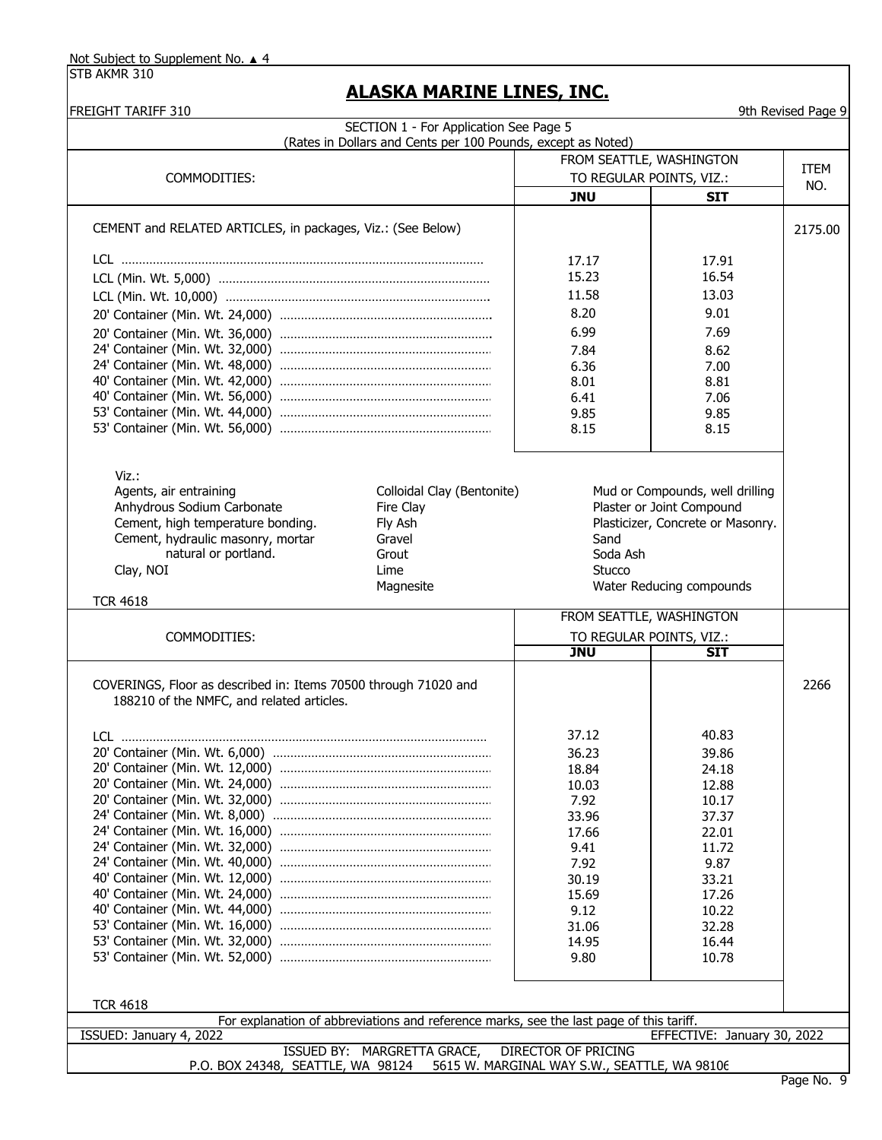COMMODITIES:

STB AKMR 310

#### **ALASKA MARINE LINES, INC.**

| FREIGHT TARIFF 310 |  |
|--------------------|--|
|                    |  |

#### 9th Revised Page 9 CEMENT and RELATED ARTICLES, in packages, Viz.: (See Below) LCL …………………………………………………………………………………………… LCL (Min. Wt. 5,000) …………………………………………………………………… LCL (Min. Wt. 10,000) …………………………………………………………………. 20' Container (Min. Wt. 24,000) ……………………………………………………. 20' Container (Min. Wt. 36,000) ……………………………………………………. 24' Container (Min. Wt. 32,000) ……………………………………………………. 24' Container (Min. Wt. 48,000) ……………………………………………………. 40' Container (Min. Wt. 42,000) ……………………………………………………. 40' Container (Min. Wt. 56,000) ……………………………………………………. 53' Container (Min. Wt. 44,000) ……………………………………………………. 53' Container (Min. Wt. 56,000) ……………………………………………………. 15.23 11.58 8.20 17.17 9.01 8.15 6.99 7.84 6.36 8.01 6.41 9.85 SECTION 1 - For Application See Page 5 (Rates in Dollars and Cents per 100 Pounds, except as Noted) **JNU SIT** TO REGULAR POINTS, VIZ.: FROM SEATTLE, WASHINGTON 2175.00 ITEM NO. 17.91 16.54 13.03 7.69 8.62 7.00 8.81 7.06 9.85 8.15

| Viz.:                                                           |                            |                          |                                   |      |  |
|-----------------------------------------------------------------|----------------------------|--------------------------|-----------------------------------|------|--|
| Agents, air entraining                                          | Colloidal Clay (Bentonite) |                          | Mud or Compounds, well drilling   |      |  |
| Anhydrous Sodium Carbonate                                      | Fire Clay                  |                          | Plaster or Joint Compound         |      |  |
| Cement, high temperature bonding.                               | Fly Ash                    |                          | Plasticizer, Concrete or Masonry. |      |  |
| Cement, hydraulic masonry, mortar                               | Gravel                     | Sand                     |                                   |      |  |
| natural or portland.                                            | Grout                      | Soda Ash                 |                                   |      |  |
| Clay, NOI                                                       | Lime                       | Stucco                   |                                   |      |  |
|                                                                 | Magnesite                  |                          | Water Reducing compounds          |      |  |
| <b>TCR 4618</b>                                                 |                            |                          |                                   |      |  |
|                                                                 |                            | FROM SEATTLE, WASHINGTON |                                   |      |  |
| COMMODITIES:                                                    |                            | TO REGULAR POINTS, VIZ.: |                                   |      |  |
|                                                                 |                            | JNU                      | SIT                               |      |  |
| COVERINGS, Floor as described in: Items 70500 through 71020 and |                            |                          |                                   | 2266 |  |
| 188210 of the NMFC, and related articles.                       |                            |                          |                                   |      |  |
| I Cl                                                            |                            | 37.12                    | 40.83                             |      |  |
|                                                                 |                            | 36.23                    | 39.86                             |      |  |

|                                                                                         | 18.84 | 24.18                       |  |
|-----------------------------------------------------------------------------------------|-------|-----------------------------|--|
|                                                                                         | 10.03 | 12.88                       |  |
|                                                                                         | 7.92  | 10.17                       |  |
|                                                                                         | 33.96 | 37.37                       |  |
|                                                                                         | 17.66 | 22.01                       |  |
|                                                                                         | 9.41  | 11.72                       |  |
|                                                                                         | 7.92  | 9.87                        |  |
|                                                                                         | 30.19 | 33.21                       |  |
|                                                                                         | 15.69 | 17.26                       |  |
|                                                                                         | 9.12  | 10.22                       |  |
|                                                                                         | 31.06 | 32.28                       |  |
|                                                                                         | 14.95 | 16.44                       |  |
|                                                                                         | 9.80  | 10.78                       |  |
|                                                                                         |       |                             |  |
|                                                                                         |       |                             |  |
| <b>TCR 4618</b>                                                                         |       |                             |  |
| For explanation of abbreviations and reference marks, see the last page of this tariff. |       |                             |  |
| ISSUED: January 4, 2022                                                                 |       | EFFECTIVE: January 30, 2022 |  |
| ISSUED BY: MARGRETTA GRACE, DIRECTOR OF PRICING                                         |       |                             |  |
| P.O. BOX 24348, SEATTLE, WA 98124 5615 W. MARGINAL WAY S.W., SEATTLE, WA 98106          |       |                             |  |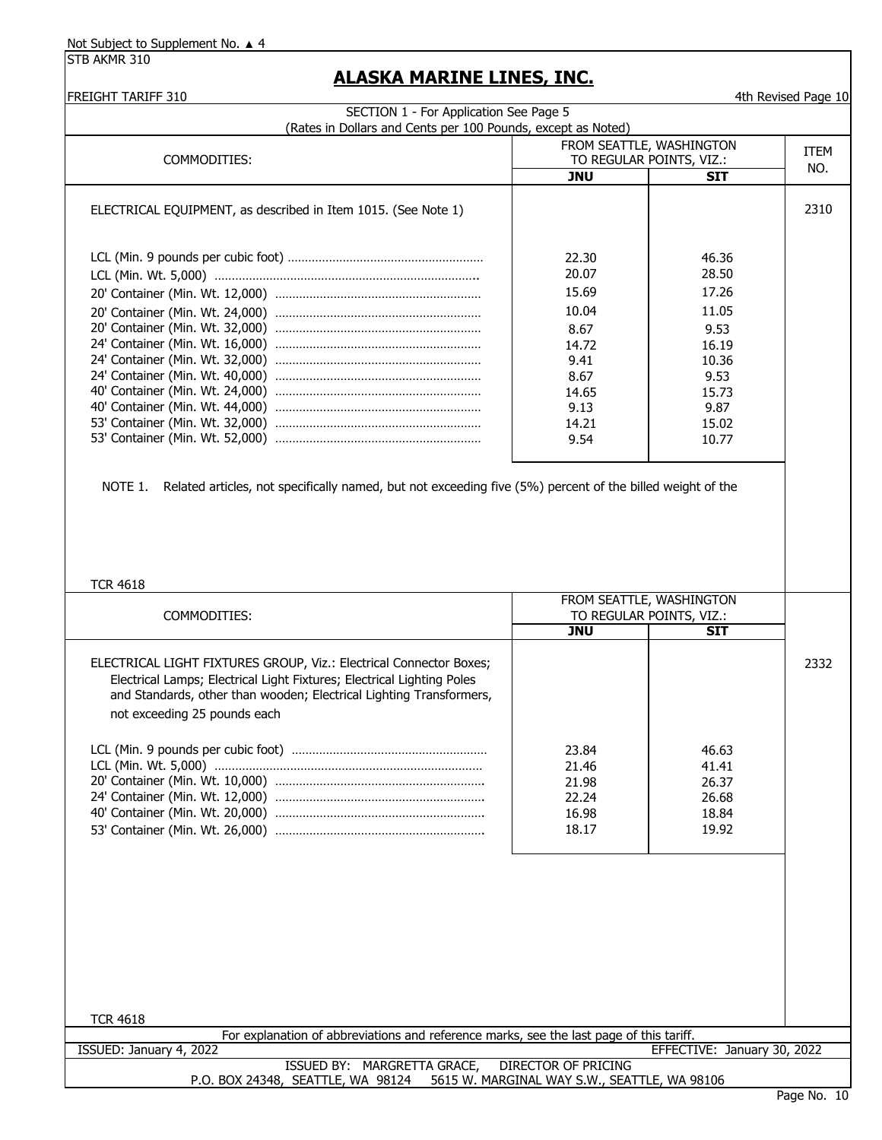STB AKMR 310

| (Rates in Dollars and Cents per 100 Pounds, except as Noted)                                                         |            |                                                      |             |
|----------------------------------------------------------------------------------------------------------------------|------------|------------------------------------------------------|-------------|
| COMMODITIES:                                                                                                         |            | FROM SEATTLE, WASHINGTON<br>TO REGULAR POINTS, VIZ.: | <b>ITEM</b> |
|                                                                                                                      | <b>JNU</b> | <b>SIT</b>                                           | NO.         |
| ELECTRICAL EQUIPMENT, as described in Item 1015. (See Note 1)                                                        |            |                                                      | 2310        |
|                                                                                                                      |            |                                                      |             |
|                                                                                                                      | 22.30      | 46.36                                                |             |
|                                                                                                                      | 20.07      | 28.50                                                |             |
|                                                                                                                      | 15.69      | 17.26                                                |             |
|                                                                                                                      | 10.04      | 11.05                                                |             |
|                                                                                                                      | 8.67       | 9.53                                                 |             |
|                                                                                                                      | 14.72      | 16.19                                                |             |
|                                                                                                                      | 9.41       | 10.36                                                |             |
|                                                                                                                      | 8.67       | 9.53                                                 |             |
|                                                                                                                      | 14.65      | 15.73                                                |             |
|                                                                                                                      | 9.13       | 9.87                                                 |             |
|                                                                                                                      | 14.21      | 15.02                                                |             |
|                                                                                                                      | 9.54       | 10.77                                                |             |
|                                                                                                                      |            |                                                      |             |
|                                                                                                                      |            |                                                      |             |
| Related articles, not specifically named, but not exceeding five (5%) percent of the billed weight of the<br>NOTE 1. |            |                                                      |             |
|                                                                                                                      |            |                                                      |             |
|                                                                                                                      |            |                                                      |             |
|                                                                                                                      |            |                                                      |             |
|                                                                                                                      |            |                                                      |             |
| <b>TCR 4618</b>                                                                                                      |            |                                                      |             |
|                                                                                                                      |            |                                                      |             |
|                                                                                                                      |            |                                                      |             |
| COMMODITIES:                                                                                                         |            | FROM SEATTLE, WASHINGTON<br>TO REGULAR POINTS, VIZ.: |             |
|                                                                                                                      | <b>JNU</b> | <b>SIT</b>                                           |             |
|                                                                                                                      |            |                                                      |             |
|                                                                                                                      |            |                                                      | 2332        |
| Electrical Lamps; Electrical Light Fixtures; Electrical Lighting Poles                                               |            |                                                      |             |
| and Standards, other than wooden; Electrical Lighting Transformers,                                                  |            |                                                      |             |
| not exceeding 25 pounds each                                                                                         |            |                                                      |             |
|                                                                                                                      |            |                                                      |             |
|                                                                                                                      | 23.84      | 46.63                                                |             |
| ELECTRICAL LIGHT FIXTURES GROUP, Viz.: Electrical Connector Boxes;                                                   | 21.46      | 41.41                                                |             |
|                                                                                                                      | 21.98      | 26.37                                                |             |
|                                                                                                                      | 22.24      | 26.68                                                |             |
|                                                                                                                      | 16.98      | 18.84                                                |             |
|                                                                                                                      | 18.17      | 19.92                                                |             |
|                                                                                                                      |            |                                                      |             |
|                                                                                                                      |            |                                                      |             |
|                                                                                                                      |            |                                                      |             |
|                                                                                                                      |            |                                                      |             |
|                                                                                                                      |            |                                                      |             |
|                                                                                                                      |            |                                                      |             |
|                                                                                                                      |            |                                                      |             |
|                                                                                                                      |            |                                                      |             |
|                                                                                                                      |            |                                                      |             |
| <b>TCR 4618</b><br>For explanation of abbreviations and reference marks, see the last page of this tariff.           |            |                                                      |             |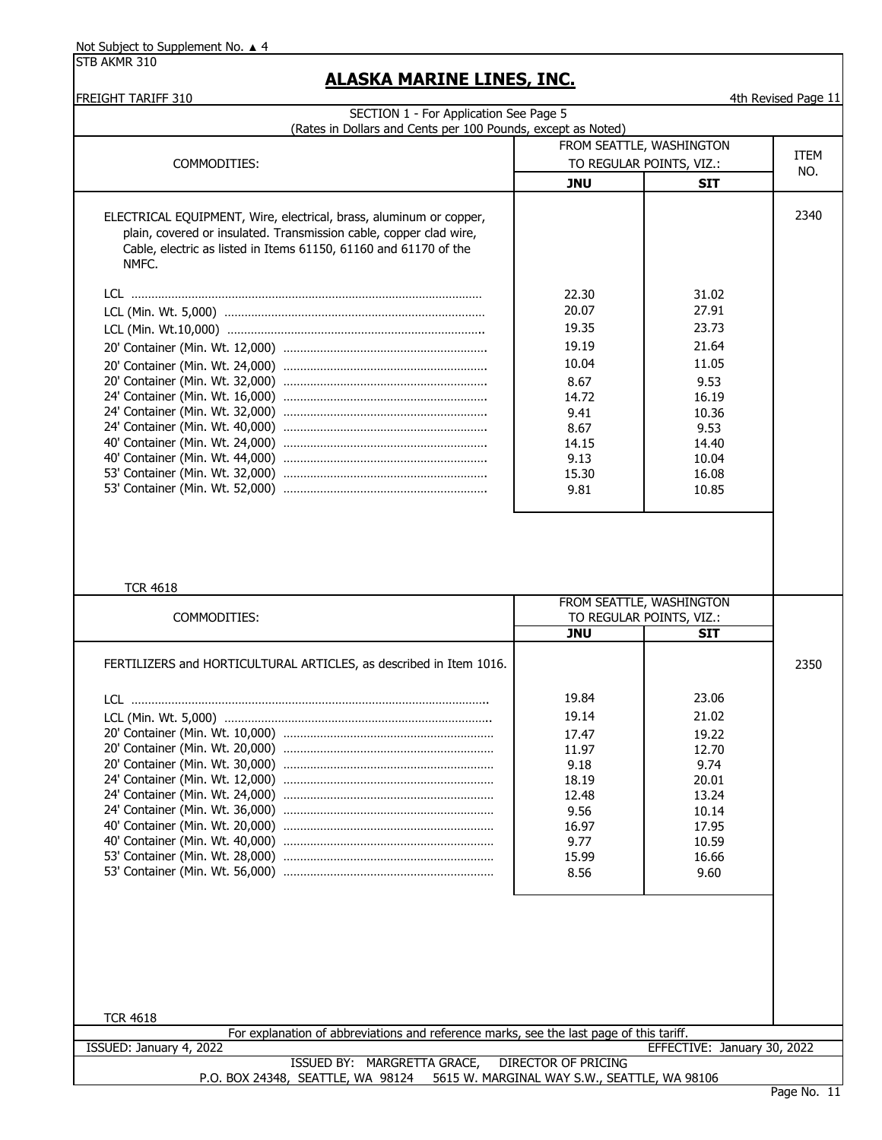STB AKMR 310

# **ALASKA MARINE LINES, INC.**

FREIGHT TARIFF 310 4th Revised Page 11

| SECTION 1 - For Application See Page 5<br>(Rates in Dollars and Cents per 100 Pounds, except as Noted)        |                            |                             |      |
|---------------------------------------------------------------------------------------------------------------|----------------------------|-----------------------------|------|
|                                                                                                               |                            | FROM SEATTLE, WASHINGTON    |      |
| COMMODITIES:                                                                                                  |                            | TO REGULAR POINTS, VIZ.:    | ITEM |
|                                                                                                               | <b>JNU</b>                 | <b>SIT</b>                  | NO.  |
|                                                                                                               |                            |                             |      |
| ELECTRICAL EQUIPMENT, Wire, electrical, brass, aluminum or copper,                                            |                            |                             | 2340 |
| plain, covered or insulated. Transmission cable, copper clad wire,                                            |                            |                             |      |
| Cable, electric as listed in Items 61150, 61160 and 61170 of the                                              |                            |                             |      |
| NMFC.                                                                                                         |                            |                             |      |
|                                                                                                               |                            |                             |      |
|                                                                                                               | 22.30                      | 31.02                       |      |
|                                                                                                               | 20.07                      | 27.91                       |      |
|                                                                                                               | 19.35                      | 23.73                       |      |
|                                                                                                               | 19.19                      | 21.64                       |      |
|                                                                                                               | 10.04                      | 11.05                       |      |
|                                                                                                               | 8.67                       | 9.53                        |      |
|                                                                                                               | 14.72                      | 16.19                       |      |
|                                                                                                               | 9.41                       | 10.36                       |      |
|                                                                                                               | 8.67                       | 9.53                        |      |
|                                                                                                               | 14.15<br>9.13              | 14.40<br>10.04              |      |
|                                                                                                               | 15.30                      | 16.08                       |      |
|                                                                                                               | 9.81                       | 10.85                       |      |
|                                                                                                               |                            |                             |      |
| <b>TCR 4618</b>                                                                                               |                            | FROM SEATTLE, WASHINGTON    |      |
| COMMODITIES:                                                                                                  |                            | TO REGULAR POINTS, VIZ.:    |      |
|                                                                                                               | <b>JNU</b>                 | <b>SIT</b>                  |      |
| FERTILIZERS and HORTICULTURAL ARTICLES, as described in Item 1016.                                            |                            |                             |      |
|                                                                                                               |                            |                             | 2350 |
|                                                                                                               |                            |                             |      |
|                                                                                                               | 19.84                      | 23.06                       |      |
|                                                                                                               | 19.14                      | 21.02                       |      |
|                                                                                                               | 17.47                      | 19.22                       |      |
|                                                                                                               | 11.97<br>9.18              | 12.70<br>9.74               |      |
|                                                                                                               | 18.19                      | 20.01                       |      |
|                                                                                                               | 12.48                      | 13.24                       |      |
|                                                                                                               | 9.56                       | 10.14                       |      |
|                                                                                                               | 16.97                      | 17.95                       |      |
|                                                                                                               | 9.77                       | 10.59                       |      |
|                                                                                                               | 15.99                      | 16.66                       |      |
|                                                                                                               | 8.56                       | 9.60                        |      |
|                                                                                                               |                            |                             |      |
|                                                                                                               |                            |                             |      |
|                                                                                                               |                            |                             |      |
|                                                                                                               |                            |                             |      |
|                                                                                                               |                            |                             |      |
|                                                                                                               |                            |                             |      |
|                                                                                                               |                            |                             |      |
| <b>TCR 4618</b><br>For explanation of abbreviations and reference marks, see the last page of this tariff.    |                            |                             |      |
| ISSUED: January 4, 2022                                                                                       |                            | EFFECTIVE: January 30, 2022 |      |
| ISSUED BY: MARGRETTA GRACE,<br>P.O. BOX 24348, SEATTLE, WA 98124 5615 W. MARGINAL WAY S.W., SEATTLE, WA 98106 | <b>DIRECTOR OF PRICING</b> |                             |      |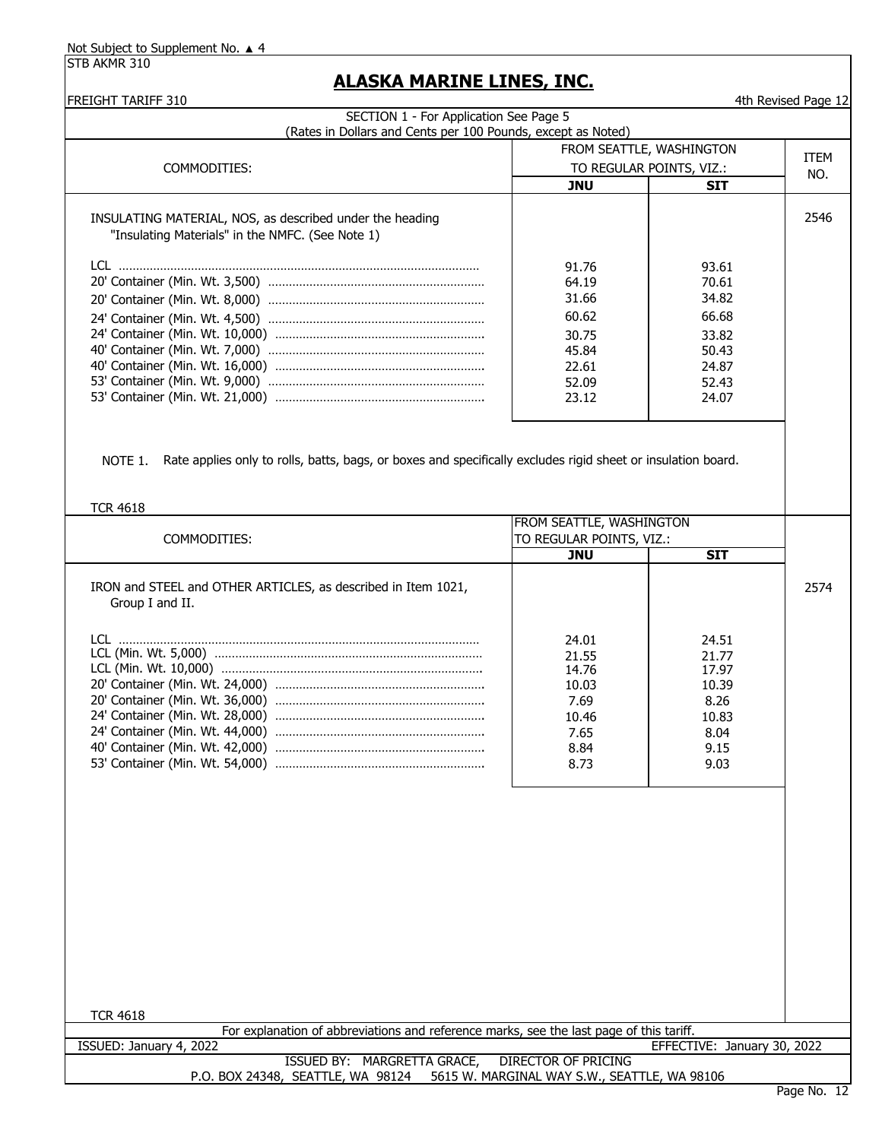| <b>FREIGHT TARIFF 310</b><br>SECTION 1 - For Application See Page 5                                                                        |                                              |                             | 4th Revised Page 12 |
|--------------------------------------------------------------------------------------------------------------------------------------------|----------------------------------------------|-----------------------------|---------------------|
| (Rates in Dollars and Cents per 100 Pounds, except as Noted)                                                                               |                                              |                             |                     |
|                                                                                                                                            |                                              | FROM SEATTLE, WASHINGTON    |                     |
| COMMODITIES:                                                                                                                               | TO REGULAR POINTS, VIZ.:                     |                             | <b>ITEM</b><br>NO.  |
|                                                                                                                                            | <b>JNU</b>                                   | <b>SIT</b>                  |                     |
|                                                                                                                                            |                                              |                             |                     |
| INSULATING MATERIAL, NOS, as described under the heading                                                                                   |                                              |                             | 2546                |
| "Insulating Materials" in the NMFC. (See Note 1)                                                                                           |                                              |                             |                     |
|                                                                                                                                            | 91.76                                        | 93.61                       |                     |
|                                                                                                                                            | 64.19                                        | 70.61                       |                     |
|                                                                                                                                            | 31.66                                        | 34.82                       |                     |
|                                                                                                                                            |                                              | 66.68                       |                     |
|                                                                                                                                            | 60.62                                        |                             |                     |
|                                                                                                                                            | 30.75                                        | 33.82                       |                     |
|                                                                                                                                            | 45.84                                        | 50.43                       |                     |
|                                                                                                                                            | 22.61                                        | 24.87                       |                     |
|                                                                                                                                            | 52.09                                        | 52.43                       |                     |
|                                                                                                                                            | 23.12                                        | 24.07                       |                     |
| Rate applies only to rolls, batts, bags, or boxes and specifically excludes rigid sheet or insulation board.<br>NOTE 1.<br><b>TCR 4618</b> |                                              |                             |                     |
|                                                                                                                                            | FROM SEATTLE, WASHINGTON                     |                             |                     |
| COMMODITIES:                                                                                                                               | TO REGULAR POINTS, VIZ.:<br><b>JNU</b>       | <b>SIT</b>                  |                     |
|                                                                                                                                            |                                              |                             |                     |
| IRON and STEEL and OTHER ARTICLES, as described in Item 1021,<br>Group I and II.                                                           |                                              |                             | 2574                |
|                                                                                                                                            | 24.01                                        | 24.51                       |                     |
|                                                                                                                                            | 21.55                                        | 21.77                       |                     |
|                                                                                                                                            | 14.76                                        | 17.97                       |                     |
|                                                                                                                                            | 10.03                                        | 10.39                       |                     |
|                                                                                                                                            | 7.69                                         | 8.26                        |                     |
|                                                                                                                                            | 10.46                                        | 10.83                       |                     |
|                                                                                                                                            | 7.65                                         | 8.04                        |                     |
|                                                                                                                                            | 8.84                                         | 9.15                        |                     |
|                                                                                                                                            | 8.73                                         | 9.03                        |                     |
|                                                                                                                                            |                                              |                             |                     |
|                                                                                                                                            |                                              |                             |                     |
|                                                                                                                                            |                                              |                             |                     |
|                                                                                                                                            |                                              |                             |                     |
|                                                                                                                                            |                                              |                             |                     |
|                                                                                                                                            |                                              |                             |                     |
|                                                                                                                                            |                                              |                             |                     |
|                                                                                                                                            |                                              |                             |                     |
|                                                                                                                                            |                                              |                             |                     |
|                                                                                                                                            |                                              |                             |                     |
| <b>TCR 4618</b>                                                                                                                            |                                              |                             |                     |
| For explanation of abbreviations and reference marks, see the last page of this tariff.<br>ISSUED: January 4, 2022                         |                                              | EFFECTIVE: January 30, 2022 |                     |
| ISSUED BY: MARGRETTA GRACE,                                                                                                                | <b>DIRECTOR OF PRICING</b>                   |                             |                     |
| P.O. BOX 24348, SEATTLE, WA 98124                                                                                                          | 5615 W. MARGINAL WAY S.W., SEATTLE, WA 98106 |                             |                     |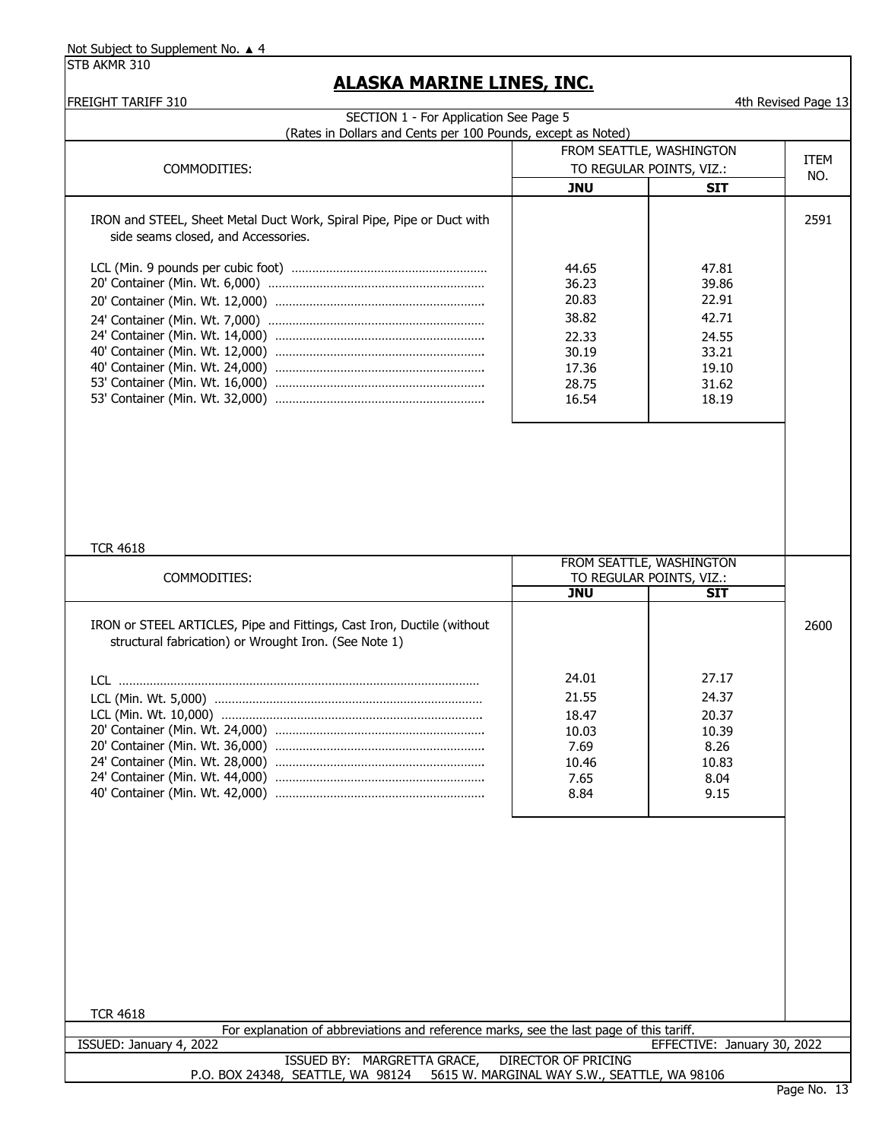|                                                                                                              |                                                                               | FROM SEATTLE, WASHINGTON                                                      |                    |
|--------------------------------------------------------------------------------------------------------------|-------------------------------------------------------------------------------|-------------------------------------------------------------------------------|--------------------|
| COMMODITIES:                                                                                                 | TO REGULAR POINTS, VIZ.:                                                      |                                                                               | <b>ITEM</b><br>NO. |
|                                                                                                              | <b>JNU</b>                                                                    | <b>SIT</b>                                                                    |                    |
| IRON and STEEL, Sheet Metal Duct Work, Spiral Pipe, Pipe or Duct with<br>side seams closed, and Accessories. |                                                                               |                                                                               | 2591               |
|                                                                                                              | 44.65<br>36.23<br>20.83<br>38.82<br>22.33<br>30.19<br>17.36<br>28.75<br>16.54 | 47.81<br>39.86<br>22.91<br>42.71<br>24.55<br>33.21<br>19.10<br>31.62<br>18.19 |                    |
| <b>TCR 4618</b><br>COMMODITIES:                                                                              | TO REGULAR POINTS, VIZ.:<br><b>JNU</b>                                        | FROM SEATTLE, WASHINGTON<br><b>SIT</b>                                        |                    |
| IRON or STEEL ARTICLES, Pipe and Fittings, Cast Iron, Ductile (without                                       |                                                                               |                                                                               | 2600               |
| structural fabrication) or Wrought Iron. (See Note 1)                                                        |                                                                               |                                                                               |                    |
|                                                                                                              | 24.01<br>21.55<br>18.47<br>10.03<br>7.69<br>10.46<br>7.65<br>8.84             | 27.17<br>24.37<br>20.37<br>10.39<br>8.26<br>10.83<br>8.04<br>9.15             |                    |
|                                                                                                              |                                                                               |                                                                               |                    |
| <b>TCR 4618</b><br>For explanation of abbreviations and reference marks, see the last page of this tariff.   |                                                                               |                                                                               |                    |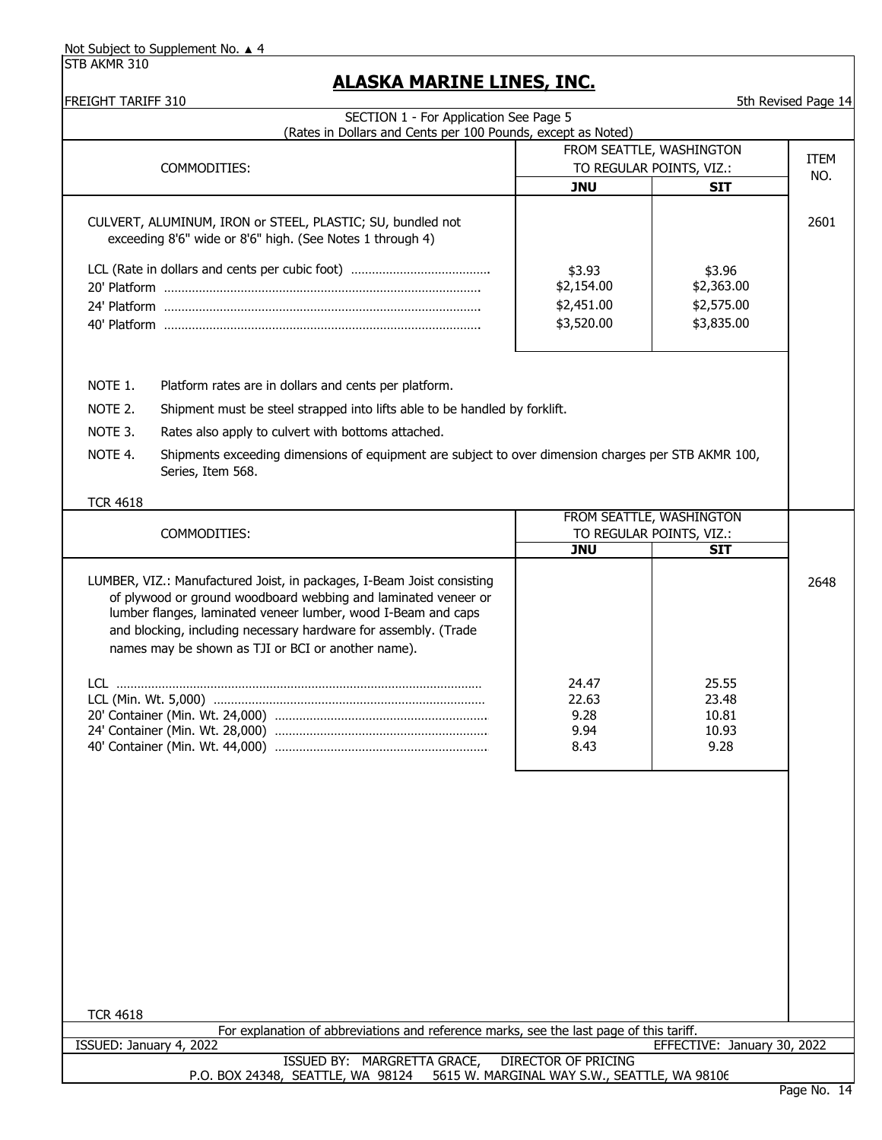STB AKMR 310

#### **ALASKA MARINE LINES, INC.**

FREIGHT TARIFF 310 5th Revised Page 14 COMMODITIES: CULVERT, ALUMINUM, IRON or STEEL, PLASTIC; SU, bundled not exceeding 8'6" wide or 8'6" high. (See Notes 1 through 4) LCL (Rate in dollars and cents per cubic foot) ………………………………………………………………………………………… 20' Platform ………………………………………………………………………………. 24' Platform ………………………………………………………………………………. 40' Platform ………………………………………………………………………………. NOTE 1. Platform rates are in dollars and cents per platform. NOTE 2. NOTE 3. Rates also apply to culvert with bottoms attached. NOTE 4. TCR 4618 COMMODITIES: LUMBER, VIZ.: Manufactured Joist, in packages, I-Beam Joist consisting of plywood or ground woodboard webbing and laminated veneer or lumber flanges, laminated veneer lumber, wood I-Beam and caps and blocking, including necessary hardware for assembly. (Trade names may be shown as TJI or BCI or another name). LCL …………………………………………………………………………………………… LCL (Min. Wt. 5,000) …………………………………………………………………… 20' Container (Min. Wt. 24,000) …………………………………………………….. 24' Container (Min. Wt. 28,000) …………………………………………………….. 40' Container (Min. Wt. 44,000) …………………………………………………….. TCR 4618 23.48 10.81 10.93 9.28 2648 P.O. BOX 24348, SEATTLE, WA 98124 5615 W. MARGINAL WAY S.W., SEATTLE, WA 98106 Shipments exceeding dimensions of equipment are subject to over dimension charges per STB AKMR 100, Series, Item 568. For explanation of abbreviations and reference marks, see the last page of this tariff. ISSUED: January 4, 2022 EFFECTIVE: January 30, 2022 ISSUED BY: MARGRETTA GRACE, DIRECTOR OF PRICING 22.63 9.28 9.94 24.47 8.43 **JNU** FROM SEATTLE, WASHINGTON TO REGULAR POINTS, VIZ.: **SIT** 25.55 SECTION 1 - For Application See Page 5 (Rates in Dollars and Cents per 100 Pounds, except as Noted) **JNU SIT** 2601 FROM SEATTLE, WASHINGTON TO REGULAR POINTS, VIZ.: TEM NO. Shipment must be steel strapped into lifts able to be handled by forklift. \$3.96 \$2,363.00 \$2,575.00 \$3,835.00 \$3.93 \$2,154.00 \$2,451.00 \$3,520.00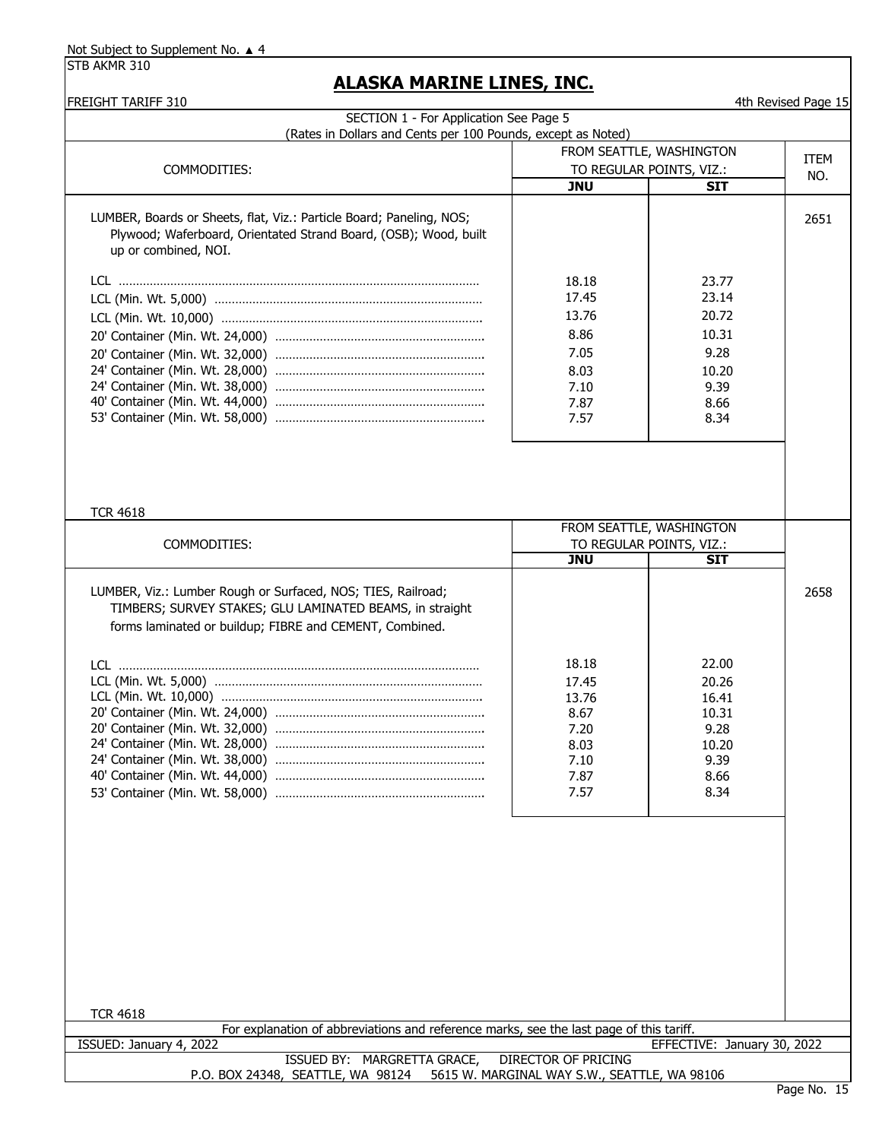| (Rates in Dollars and Cents per 100 Pounds, except as Noted)                                                                                                                        |                                                                         |                                                                           |             |
|-------------------------------------------------------------------------------------------------------------------------------------------------------------------------------------|-------------------------------------------------------------------------|---------------------------------------------------------------------------|-------------|
|                                                                                                                                                                                     |                                                                         | FROM SEATTLE, WASHINGTON                                                  | <b>ITEM</b> |
| COMMODITIES:                                                                                                                                                                        |                                                                         | TO REGULAR POINTS, VIZ.:                                                  | NO.         |
|                                                                                                                                                                                     | <b>JNU</b>                                                              | SIT                                                                       |             |
| LUMBER, Boards or Sheets, flat, Viz.: Particle Board; Paneling, NOS;<br>Plywood; Waferboard, Orientated Strand Board, (OSB); Wood, built<br>up or combined, NOI.                    |                                                                         |                                                                           | 2651        |
|                                                                                                                                                                                     | 18.18<br>17.45<br>13.76<br>8.86<br>7.05<br>8.03<br>7.10<br>7.87<br>7.57 | 23.77<br>23.14<br>20.72<br>10.31<br>9.28<br>10.20<br>9.39<br>8.66<br>8.34 |             |
| <b>TCR 4618</b><br>COMMODITIES:                                                                                                                                                     | <b>JNU</b>                                                              | FROM SEATTLE, WASHINGTON<br>TO REGULAR POINTS, VIZ.:<br><b>SIT</b>        |             |
| LUMBER, Viz.: Lumber Rough or Surfaced, NOS; TIES, Railroad;<br>TIMBERS; SURVEY STAKES; GLU LAMINATED BEAMS, in straight<br>forms laminated or buildup; FIBRE and CEMENT, Combined. |                                                                         |                                                                           | 2658        |
|                                                                                                                                                                                     | 18.18                                                                   | 22.00                                                                     |             |
|                                                                                                                                                                                     | 17.45                                                                   | 20.26                                                                     |             |
|                                                                                                                                                                                     | 13.76                                                                   | 16.41                                                                     |             |
|                                                                                                                                                                                     | 8.67                                                                    | 10.31                                                                     |             |
|                                                                                                                                                                                     | 7.20<br>8.03                                                            | 9.28<br>10.20                                                             |             |
|                                                                                                                                                                                     | 7.10                                                                    | 9.39                                                                      |             |
|                                                                                                                                                                                     | 7.87                                                                    | 8.66                                                                      |             |
|                                                                                                                                                                                     | 7.57                                                                    | 8.34                                                                      |             |
|                                                                                                                                                                                     |                                                                         |                                                                           |             |
|                                                                                                                                                                                     |                                                                         |                                                                           |             |
| <b>TCR 4618</b>                                                                                                                                                                     |                                                                         |                                                                           |             |
| For explanation of abbreviations and reference marks, see the last page of this tariff.                                                                                             |                                                                         | EFFECTIVE: January 30, 2022                                               |             |
| ISSUED: January 4, 2022                                                                                                                                                             |                                                                         |                                                                           |             |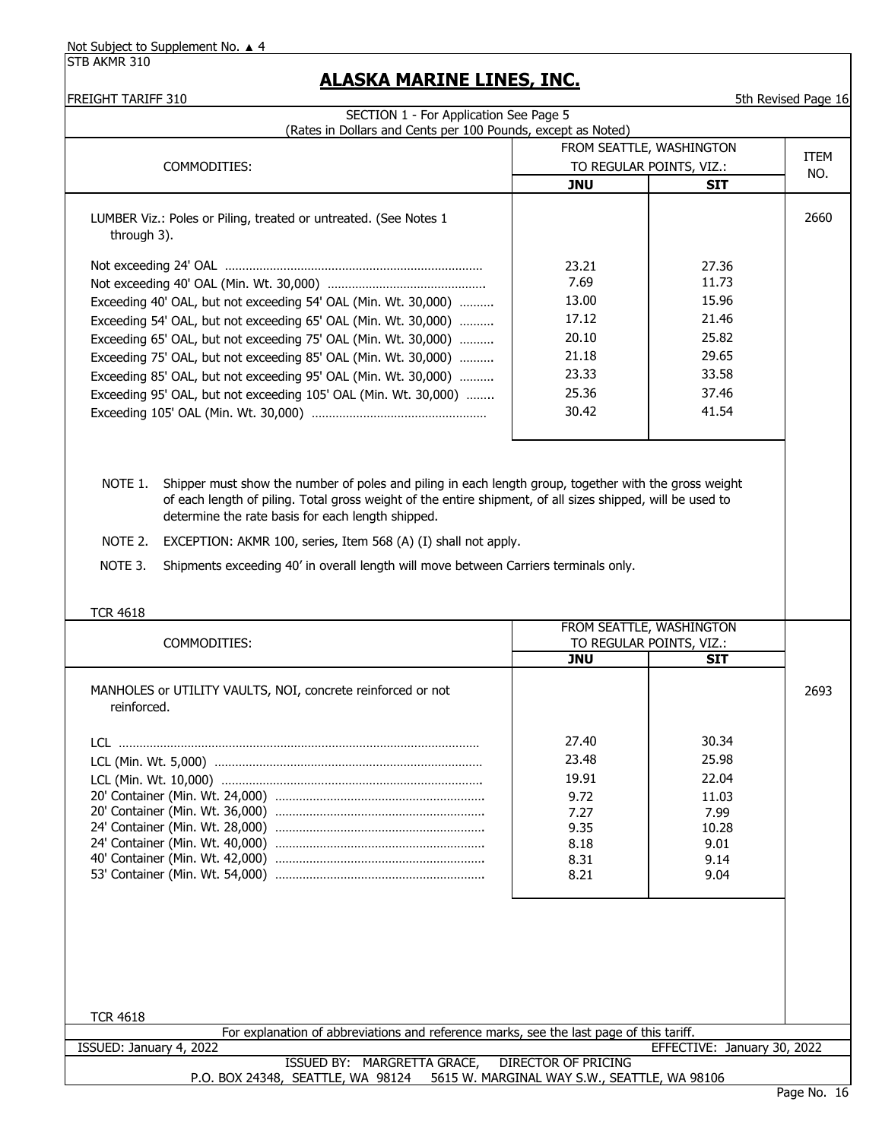STB AKMR 310

# **ALASKA MARINE LINES, INC.**

# FREIGHT TARIFF 310 5th Revised Page 16 SECTION 1 - For Application See Page 5

| SECTION 1 - For Application See Page 5<br>(Rates in Dollars and Cents per 100 Pounds, except as Noted)                                                                                                                                                                                                                                                                                                                                                              |                                                                              |                                                                               |             |
|---------------------------------------------------------------------------------------------------------------------------------------------------------------------------------------------------------------------------------------------------------------------------------------------------------------------------------------------------------------------------------------------------------------------------------------------------------------------|------------------------------------------------------------------------------|-------------------------------------------------------------------------------|-------------|
| COMMODITIES:                                                                                                                                                                                                                                                                                                                                                                                                                                                        | FROM SEATTLE, WASHINGTON<br>TO REGULAR POINTS, VIZ.:                         |                                                                               | <b>ITEM</b> |
|                                                                                                                                                                                                                                                                                                                                                                                                                                                                     | <b>JNU</b>                                                                   | <b>SIT</b>                                                                    | NO.         |
| LUMBER Viz.: Poles or Piling, treated or untreated. (See Notes 1<br>through 3).                                                                                                                                                                                                                                                                                                                                                                                     |                                                                              |                                                                               | 2660        |
| Exceeding 40' OAL, but not exceeding 54' OAL (Min. Wt. 30,000)<br>Exceeding 54' OAL, but not exceeding 65' OAL (Min. Wt. 30,000)<br>Exceeding 65' OAL, but not exceeding 75' OAL (Min. Wt. 30,000)<br>Exceeding 75' OAL, but not exceeding 85' OAL (Min. Wt. 30,000)<br>Exceeding 85' OAL, but not exceeding 95' OAL (Min. Wt. 30,000)<br>Exceeding 95' OAL, but not exceeding 105' OAL (Min. Wt. 30,000)                                                           | 23.21<br>7.69<br>13.00<br>17.12<br>20.10<br>21.18<br>23.33<br>25.36<br>30.42 | 27.36<br>11.73<br>15.96<br>21.46<br>25.82<br>29.65<br>33.58<br>37.46<br>41.54 |             |
| Shipper must show the number of poles and piling in each length group, together with the gross weight<br>NOTE 1.<br>of each length of piling. Total gross weight of the entire shipment, of all sizes shipped, will be used to<br>determine the rate basis for each length shipped.<br>NOTE 2.<br>EXCEPTION: AKMR 100, series, Item 568 (A) (I) shall not apply.<br>NOTE 3.<br>Shipments exceeding 40' in overall length will move between Carriers terminals only. |                                                                              |                                                                               |             |
| <b>TCR 4618</b>                                                                                                                                                                                                                                                                                                                                                                                                                                                     |                                                                              |                                                                               |             |
| COMMODITIES:                                                                                                                                                                                                                                                                                                                                                                                                                                                        | FROM SEATTLE, WASHINGTON<br>TO REGULAR POINTS, VIZ.:                         |                                                                               |             |
|                                                                                                                                                                                                                                                                                                                                                                                                                                                                     | <b>JNU</b>                                                                   | <b>SIT</b>                                                                    |             |
| MANHOLES or UTILITY VAULTS, NOI, concrete reinforced or not<br>reinforced.                                                                                                                                                                                                                                                                                                                                                                                          |                                                                              |                                                                               | 2693        |
|                                                                                                                                                                                                                                                                                                                                                                                                                                                                     | 27.40<br>23.48<br>19.91<br>9.72<br>7.27<br>9.35<br>8.18<br>8.31<br>8.21      | 30.34<br>25.98<br>22.04<br>11.03<br>7.99<br>10.28<br>9.01<br>9.14<br>9.04     |             |
| <b>TCR 4618</b>                                                                                                                                                                                                                                                                                                                                                                                                                                                     |                                                                              |                                                                               |             |
| For explanation of abbreviations and reference marks, see the last page of this tariff.                                                                                                                                                                                                                                                                                                                                                                             |                                                                              | EFFECTIVE: January 30, 2022                                                   |             |
| ISSUED: January 4, 2022<br>ISSUED BY: MARGRETTA GRACE,                                                                                                                                                                                                                                                                                                                                                                                                              | <b>DIRECTOR OF PRICING</b>                                                   |                                                                               |             |
| P.O. BOX 24348, SEATTLE, WA 98124 5615 W. MARGINAL WAY S.W., SEATTLE, WA 98106                                                                                                                                                                                                                                                                                                                                                                                      |                                                                              |                                                                               |             |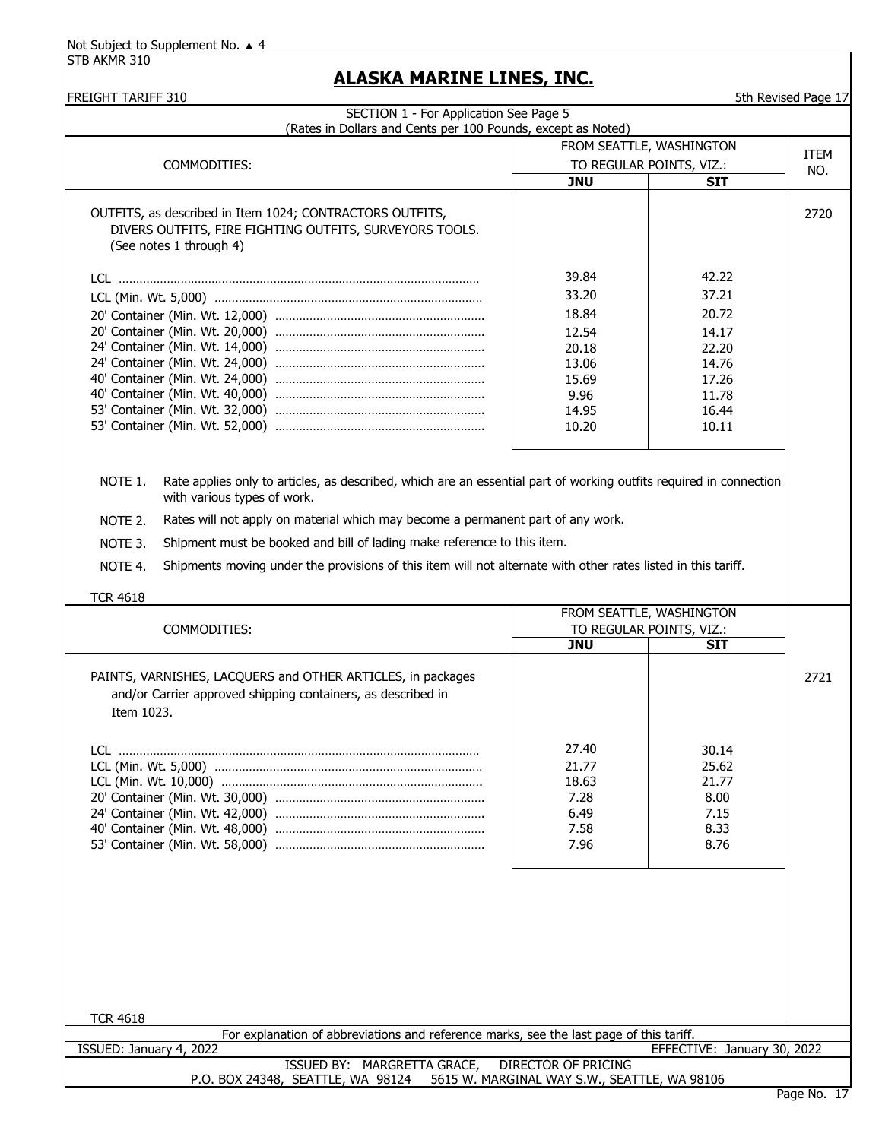STB AKMR 310

## **ALASKA MARINE LINES, INC.**

| FREIGHT TARIFF 310                                                                                                                                                                                                                                                                                                                                                                                                                                                                              |                          |                | 5th Revised Page 17 |
|-------------------------------------------------------------------------------------------------------------------------------------------------------------------------------------------------------------------------------------------------------------------------------------------------------------------------------------------------------------------------------------------------------------------------------------------------------------------------------------------------|--------------------------|----------------|---------------------|
| SECTION 1 - For Application See Page 5                                                                                                                                                                                                                                                                                                                                                                                                                                                          |                          |                |                     |
| (Rates in Dollars and Cents per 100 Pounds, except as Noted)                                                                                                                                                                                                                                                                                                                                                                                                                                    |                          |                |                     |
|                                                                                                                                                                                                                                                                                                                                                                                                                                                                                                 | FROM SEATTLE, WASHINGTON |                | <b>ITEM</b>         |
| COMMODITIES:                                                                                                                                                                                                                                                                                                                                                                                                                                                                                    | TO REGULAR POINTS, VIZ.: |                | NO.                 |
|                                                                                                                                                                                                                                                                                                                                                                                                                                                                                                 | <b>JNU</b>               | <b>SIT</b>     |                     |
| OUTFITS, as described in Item 1024; CONTRACTORS OUTFITS,<br>DIVERS OUTFITS, FIRE FIGHTING OUTFITS, SURVEYORS TOOLS.<br>(See notes 1 through 4)                                                                                                                                                                                                                                                                                                                                                  |                          |                | 2720                |
|                                                                                                                                                                                                                                                                                                                                                                                                                                                                                                 | 39.84                    | 42.22          |                     |
|                                                                                                                                                                                                                                                                                                                                                                                                                                                                                                 | 33.20                    | 37.21          |                     |
|                                                                                                                                                                                                                                                                                                                                                                                                                                                                                                 | 18.84                    | 20.72          |                     |
|                                                                                                                                                                                                                                                                                                                                                                                                                                                                                                 |                          |                |                     |
|                                                                                                                                                                                                                                                                                                                                                                                                                                                                                                 | 12.54                    | 14.17          |                     |
|                                                                                                                                                                                                                                                                                                                                                                                                                                                                                                 | 20.18                    | 22.20<br>14.76 |                     |
|                                                                                                                                                                                                                                                                                                                                                                                                                                                                                                 | 13.06<br>15.69           | 17.26          |                     |
|                                                                                                                                                                                                                                                                                                                                                                                                                                                                                                 | 9.96                     | 11.78          |                     |
|                                                                                                                                                                                                                                                                                                                                                                                                                                                                                                 | 14.95                    | 16.44          |                     |
|                                                                                                                                                                                                                                                                                                                                                                                                                                                                                                 | 10.20                    | 10.11          |                     |
|                                                                                                                                                                                                                                                                                                                                                                                                                                                                                                 |                          |                |                     |
| NOTE 1.<br>Rate applies only to articles, as described, which are an essential part of working outfits required in connection<br>with various types of work.<br>Rates will not apply on material which may become a permanent part of any work.<br>NOTE 2.<br>Shipment must be booked and bill of lading make reference to this item.<br>NOTE 3.<br>Shipments moving under the provisions of this item will not alternate with other rates listed in this tariff.<br>NOTE 4.<br><b>TCR 4618</b> |                          |                |                     |
|                                                                                                                                                                                                                                                                                                                                                                                                                                                                                                 | FROM SEATTLE, WASHINGTON |                |                     |
| COMMODITIES:                                                                                                                                                                                                                                                                                                                                                                                                                                                                                    | TO REGULAR POINTS, VIZ.: |                |                     |
|                                                                                                                                                                                                                                                                                                                                                                                                                                                                                                 | <b>JNU</b>               | <b>SIT</b>     |                     |
| PAINTS, VARNISHES, LACQUERS and OTHER ARTICLES, in packages<br>and/or Carrier approved shipping containers, as described in<br>Item 1023.                                                                                                                                                                                                                                                                                                                                                       |                          |                | 2721                |
|                                                                                                                                                                                                                                                                                                                                                                                                                                                                                                 | 27.40                    | 30.14          |                     |
|                                                                                                                                                                                                                                                                                                                                                                                                                                                                                                 | 21.77                    | 25.62          |                     |
|                                                                                                                                                                                                                                                                                                                                                                                                                                                                                                 | 18.63                    | 21.77          |                     |
|                                                                                                                                                                                                                                                                                                                                                                                                                                                                                                 | 7.28                     | 8.00           |                     |
|                                                                                                                                                                                                                                                                                                                                                                                                                                                                                                 | 6.49                     | 7.15           |                     |
|                                                                                                                                                                                                                                                                                                                                                                                                                                                                                                 | 7.58                     | 8.33           |                     |
|                                                                                                                                                                                                                                                                                                                                                                                                                                                                                                 | 7.96                     | 8.76           |                     |
|                                                                                                                                                                                                                                                                                                                                                                                                                                                                                                 |                          |                |                     |
|                                                                                                                                                                                                                                                                                                                                                                                                                                                                                                 |                          |                |                     |
|                                                                                                                                                                                                                                                                                                                                                                                                                                                                                                 |                          |                |                     |
|                                                                                                                                                                                                                                                                                                                                                                                                                                                                                                 |                          |                |                     |
|                                                                                                                                                                                                                                                                                                                                                                                                                                                                                                 |                          |                |                     |
|                                                                                                                                                                                                                                                                                                                                                                                                                                                                                                 |                          |                |                     |
|                                                                                                                                                                                                                                                                                                                                                                                                                                                                                                 |                          |                |                     |
|                                                                                                                                                                                                                                                                                                                                                                                                                                                                                                 |                          |                |                     |
|                                                                                                                                                                                                                                                                                                                                                                                                                                                                                                 |                          |                |                     |
| <b>TCR 4618</b>                                                                                                                                                                                                                                                                                                                                                                                                                                                                                 |                          |                |                     |

ISSUED BY: MARGRETTA GRACE, DIRECTOR OF PRICING P.O. BOX 24348, SEATTLE, WA 98124 5615 W. MARGINAL WAY S.W., SEATTLE, WA 98106 For explanation of abbreviations and reference marks, see the last page of this tariff. ISSUED: January 4, 2022 EFFECTIVE: January 30, 2022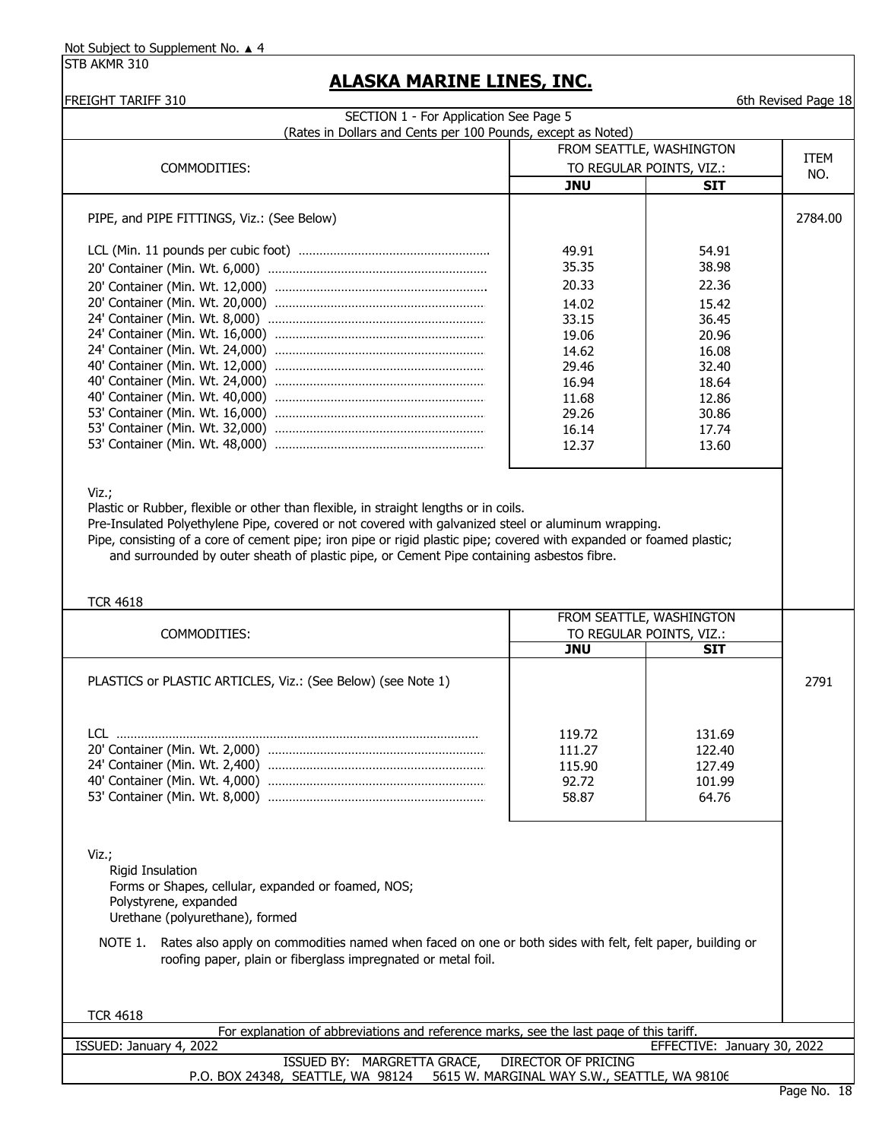STB AKMR 310

# **ALASKA MARINE LINES, INC.**

**FREIGHT TARIFF 310 FREIGHT TARIFF 310** 

| 1\LIVIII 1/1\\III<br>SECTION 1 - For Application See Page 5<br>(Rates in Dollars and Cents per 100 Pounds, except as Noted)                                                                                                                                                                                         |                            |                                                      |             |
|---------------------------------------------------------------------------------------------------------------------------------------------------------------------------------------------------------------------------------------------------------------------------------------------------------------------|----------------------------|------------------------------------------------------|-------------|
| FROM SEATTLE, WASHINGTON                                                                                                                                                                                                                                                                                            |                            |                                                      |             |
| COMMODITIES:                                                                                                                                                                                                                                                                                                        | TO REGULAR POINTS, VIZ.:   |                                                      | <b>ITEM</b> |
|                                                                                                                                                                                                                                                                                                                     | <b>JNU</b>                 | <b>SIT</b>                                           | NO.         |
| PIPE, and PIPE FITTINGS, Viz.: (See Below)                                                                                                                                                                                                                                                                          |                            |                                                      | 2784.00     |
|                                                                                                                                                                                                                                                                                                                     | 49.91                      | 54.91                                                |             |
|                                                                                                                                                                                                                                                                                                                     | 35.35                      | 38.98                                                |             |
|                                                                                                                                                                                                                                                                                                                     | 20.33                      | 22.36                                                |             |
|                                                                                                                                                                                                                                                                                                                     | 14.02                      | 15.42                                                |             |
|                                                                                                                                                                                                                                                                                                                     | 33.15                      | 36.45                                                |             |
|                                                                                                                                                                                                                                                                                                                     | 19.06                      | 20.96                                                |             |
|                                                                                                                                                                                                                                                                                                                     | 14.62                      | 16.08                                                |             |
|                                                                                                                                                                                                                                                                                                                     | 29.46                      | 32.40                                                |             |
|                                                                                                                                                                                                                                                                                                                     | 16.94                      | 18.64                                                |             |
|                                                                                                                                                                                                                                                                                                                     | 11.68                      | 12.86                                                |             |
|                                                                                                                                                                                                                                                                                                                     | 29.26                      | 30.86                                                |             |
|                                                                                                                                                                                                                                                                                                                     | 16.14                      | 17.74                                                |             |
|                                                                                                                                                                                                                                                                                                                     | 12.37                      | 13.60                                                |             |
| Viz.;                                                                                                                                                                                                                                                                                                               |                            |                                                      |             |
| Plastic or Rubber, flexible or other than flexible, in straight lengths or in coils.<br>Pre-Insulated Polyethylene Pipe, covered or not covered with galvanized steel or aluminum wrapping.<br>Pipe, consisting of a core of cement pipe; iron pipe or rigid plastic pipe; covered with expanded or foamed plastic; |                            |                                                      |             |
| and surrounded by outer sheath of plastic pipe, or Cement Pipe containing asbestos fibre.                                                                                                                                                                                                                           |                            |                                                      |             |
|                                                                                                                                                                                                                                                                                                                     |                            |                                                      |             |
|                                                                                                                                                                                                                                                                                                                     |                            |                                                      |             |
| <b>TCR 4618</b>                                                                                                                                                                                                                                                                                                     |                            |                                                      |             |
| COMMODITIES:                                                                                                                                                                                                                                                                                                        |                            | FROM SEATTLE, WASHINGTON<br>TO REGULAR POINTS, VIZ.: |             |
|                                                                                                                                                                                                                                                                                                                     | <b>JNU</b>                 | <b>SIT</b>                                           |             |
| PLASTICS or PLASTIC ARTICLES, Viz.: (See Below) (see Note 1)                                                                                                                                                                                                                                                        |                            |                                                      | 2791        |
|                                                                                                                                                                                                                                                                                                                     | 119.72                     | 131.69                                               |             |
|                                                                                                                                                                                                                                                                                                                     | 111.27                     | 122.40                                               |             |
|                                                                                                                                                                                                                                                                                                                     | 115.90                     | 127.49                                               |             |
|                                                                                                                                                                                                                                                                                                                     | 92.72                      | 101.99                                               |             |
|                                                                                                                                                                                                                                                                                                                     | 58.87                      | 64.76                                                |             |
|                                                                                                                                                                                                                                                                                                                     |                            |                                                      |             |
| Viz.;                                                                                                                                                                                                                                                                                                               |                            |                                                      |             |
| <b>Rigid Insulation</b>                                                                                                                                                                                                                                                                                             |                            |                                                      |             |
| Forms or Shapes, cellular, expanded or foamed, NOS;                                                                                                                                                                                                                                                                 |                            |                                                      |             |
| Polystyrene, expanded                                                                                                                                                                                                                                                                                               |                            |                                                      |             |
| Urethane (polyurethane), formed                                                                                                                                                                                                                                                                                     |                            |                                                      |             |
| Rates also apply on commodities named when faced on one or both sides with felt, felt paper, building or<br>NOTE 1.<br>roofing paper, plain or fiberglass impregnated or metal foil.                                                                                                                                |                            |                                                      |             |
|                                                                                                                                                                                                                                                                                                                     |                            |                                                      |             |
|                                                                                                                                                                                                                                                                                                                     |                            |                                                      |             |
| <b>TCR 4618</b>                                                                                                                                                                                                                                                                                                     |                            |                                                      |             |
| For explanation of abbreviations and reference marks, see the last page of this tariff.                                                                                                                                                                                                                             |                            |                                                      |             |
| ISSUED: January 4, 2022<br>ISSUED BY: MARGRETTA GRACE,                                                                                                                                                                                                                                                              | <b>DIRECTOR OF PRICING</b> | EFFECTIVE: January 30, 2022                          |             |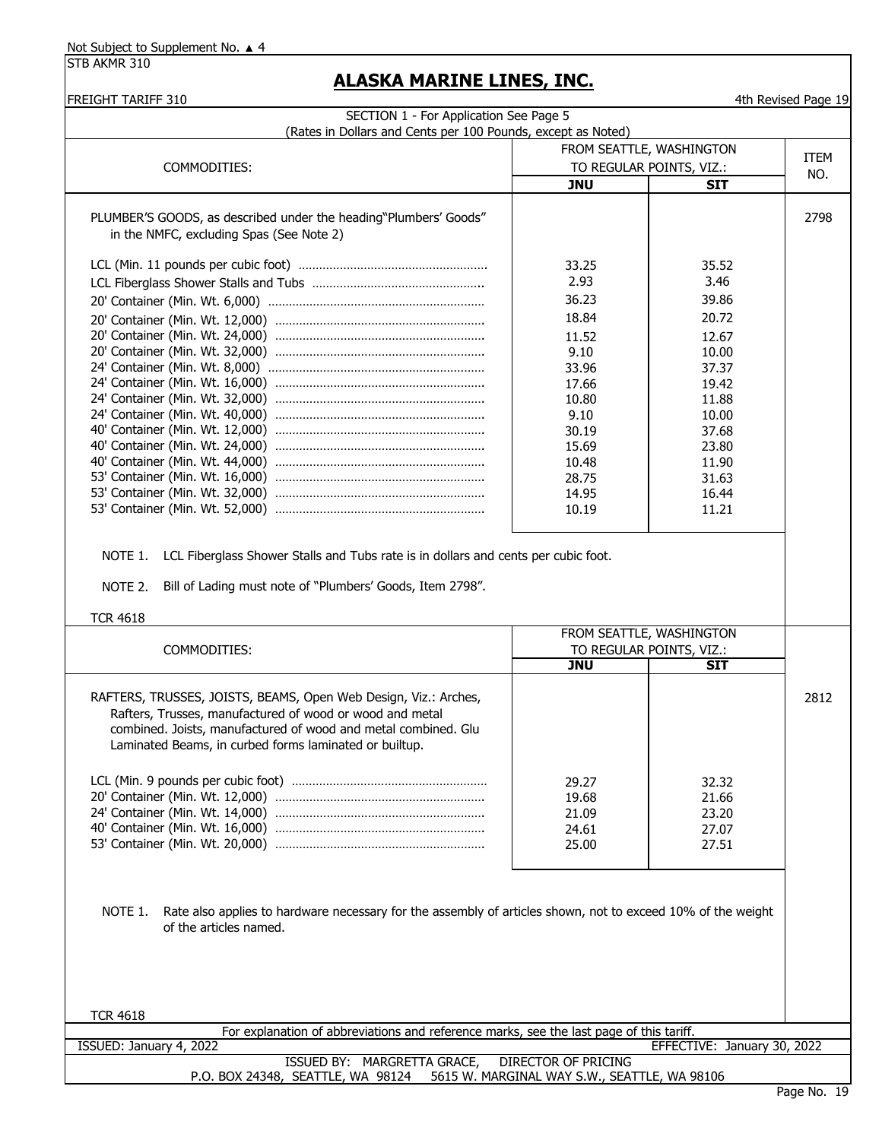| (Rates in Dollars and Cents per 100 Pounds, except as Noted)                                                                                                                                                                                            |                                                      |                                        |      |
|---------------------------------------------------------------------------------------------------------------------------------------------------------------------------------------------------------------------------------------------------------|------------------------------------------------------|----------------------------------------|------|
|                                                                                                                                                                                                                                                         | FROM SEATTLE, WASHINGTON<br>TO REGULAR POINTS, VIZ.: |                                        | ITEM |
| COMMODITIES:                                                                                                                                                                                                                                            | <b>JNU</b>                                           | <b>SIT</b>                             | NO.  |
|                                                                                                                                                                                                                                                         |                                                      |                                        |      |
| PLUMBER'S GOODS, as described under the heading"Plumbers' Goods"                                                                                                                                                                                        |                                                      |                                        | 2798 |
| in the NMFC, excluding Spas (See Note 2)                                                                                                                                                                                                                |                                                      |                                        |      |
|                                                                                                                                                                                                                                                         | 33.25                                                | 35.52                                  |      |
|                                                                                                                                                                                                                                                         | 2.93                                                 | 3.46                                   |      |
|                                                                                                                                                                                                                                                         | 36.23                                                | 39.86                                  |      |
|                                                                                                                                                                                                                                                         | 18.84                                                | 20.72                                  |      |
|                                                                                                                                                                                                                                                         | 11.52                                                | 12.67                                  |      |
|                                                                                                                                                                                                                                                         | 9.10                                                 | 10.00                                  |      |
|                                                                                                                                                                                                                                                         | 33.96                                                | 37.37                                  |      |
|                                                                                                                                                                                                                                                         | 17.66                                                | 19.42                                  |      |
|                                                                                                                                                                                                                                                         | 10.80                                                | 11.88                                  |      |
|                                                                                                                                                                                                                                                         | 9.10                                                 | 10.00                                  |      |
|                                                                                                                                                                                                                                                         | 30.19                                                | 37.68                                  |      |
|                                                                                                                                                                                                                                                         | 15.69<br>10.48                                       | 23.80<br>11.90                         |      |
|                                                                                                                                                                                                                                                         | 28.75                                                | 31.63                                  |      |
|                                                                                                                                                                                                                                                         | 14.95                                                | 16.44                                  |      |
|                                                                                                                                                                                                                                                         | 10.19                                                | 11.21                                  |      |
| NOTE 1.<br>LCL Fiberglass Shower Stalls and Tubs rate is in dollars and cents per cubic foot.<br>Bill of Lading must note of "Plumbers' Goods, Item 2798".<br>NOTE 2.                                                                                   |                                                      |                                        |      |
|                                                                                                                                                                                                                                                         |                                                      | FROM SEATTLE, WASHINGTON               |      |
| <b>TCR 4618</b><br>COMMODITIES:                                                                                                                                                                                                                         | <b>JNU</b>                                           | TO REGULAR POINTS, VIZ.:<br><b>SIT</b> |      |
| RAFTERS, TRUSSES, JOISTS, BEAMS, Open Web Design, Viz.: Arches,<br>Rafters, Trusses, manufactured of wood or wood and metal<br>combined. Joists, manufactured of wood and metal combined. Glu<br>Laminated Beams, in curbed forms laminated or builtup. |                                                      |                                        |      |
|                                                                                                                                                                                                                                                         |                                                      |                                        |      |
|                                                                                                                                                                                                                                                         | 29.27                                                | 32.32                                  | 2812 |
|                                                                                                                                                                                                                                                         | 19.68                                                | 21.66                                  |      |
|                                                                                                                                                                                                                                                         | 21.09                                                | 23.20                                  |      |
|                                                                                                                                                                                                                                                         | 24.61<br>25.00                                       | 27.07<br>27.51                         |      |
| Rate also applies to hardware necessary for the assembly of articles shown, not to exceed 10% of the weight<br>NOTE 1.<br>of the articles named.                                                                                                        |                                                      |                                        |      |
| <b>TCR 4618</b><br>For explanation of abbreviations and reference marks, see the last page of this tariff.                                                                                                                                              |                                                      |                                        |      |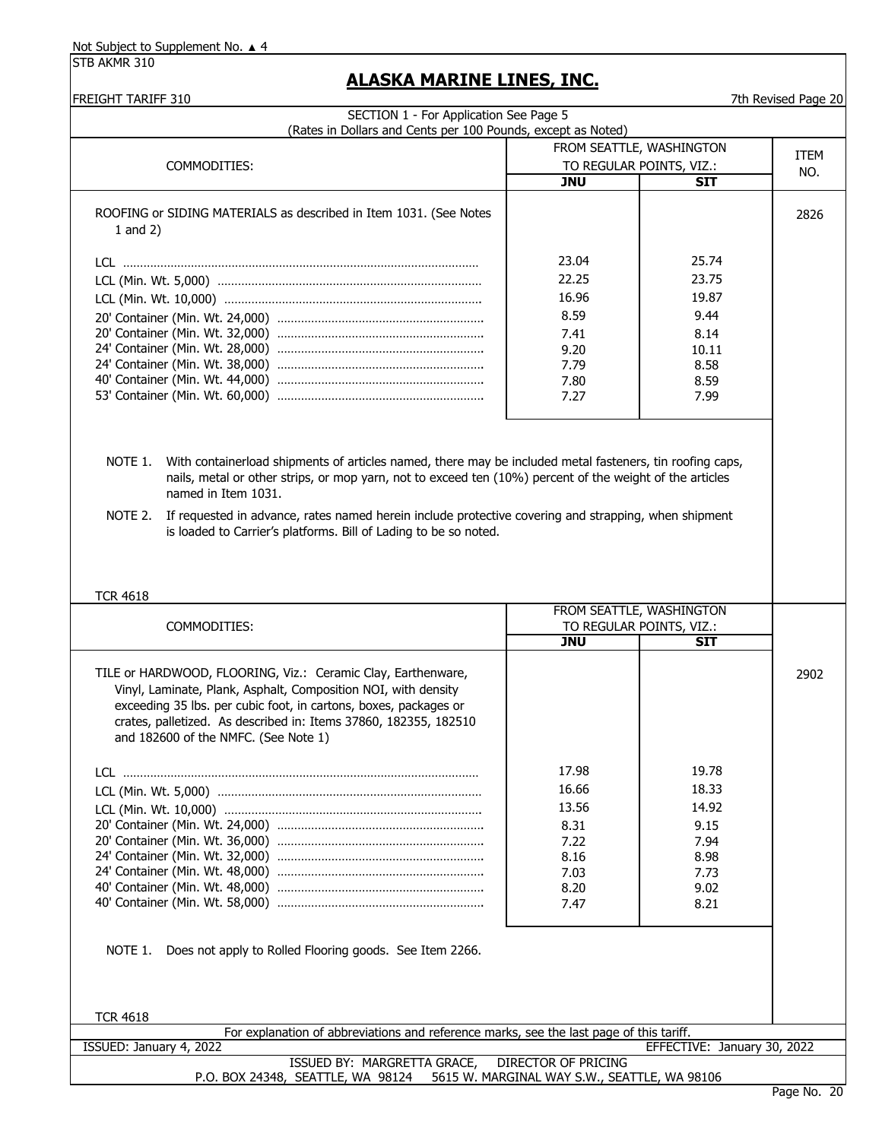STB AKMR 310

| <b>FREIGHT TARIFF 310</b><br>SECTION 1 - For Application See Page 5                                                 |                          |                                                      | 7th Revised Page 20 |
|---------------------------------------------------------------------------------------------------------------------|--------------------------|------------------------------------------------------|---------------------|
| (Rates in Dollars and Cents per 100 Pounds, except as Noted)                                                        |                          |                                                      |                     |
|                                                                                                                     | FROM SEATTLE, WASHINGTON |                                                      | <b>ITEM</b><br>NO.  |
| COMMODITIES:                                                                                                        | TO REGULAR POINTS, VIZ.: |                                                      |                     |
|                                                                                                                     | <b>JNU</b>               | SIT                                                  |                     |
| ROOFING or SIDING MATERIALS as described in Item 1031. (See Notes                                                   |                          |                                                      | 2826                |
| 1 and $2)$                                                                                                          |                          |                                                      |                     |
|                                                                                                                     |                          |                                                      |                     |
|                                                                                                                     | 23.04                    | 25.74                                                |                     |
|                                                                                                                     | 22.25                    | 23.75                                                |                     |
|                                                                                                                     | 16.96                    | 19.87                                                |                     |
|                                                                                                                     | 8.59                     | 9.44                                                 |                     |
|                                                                                                                     | 7.41                     | 8.14                                                 |                     |
|                                                                                                                     | 9.20                     | 10.11                                                |                     |
|                                                                                                                     | 7.79                     | 8.58                                                 |                     |
|                                                                                                                     | 7.80                     | 8.59                                                 |                     |
|                                                                                                                     | 7.27                     | 7.99                                                 |                     |
|                                                                                                                     |                          |                                                      |                     |
| With containerload shipments of articles named, there may be included metal fasteners, tin roofing caps,<br>NOTE 1. |                          |                                                      |                     |
| nails, metal or other strips, or mop yarn, not to exceed ten (10%) percent of the weight of the articles            |                          |                                                      |                     |
| named in Item 1031.                                                                                                 |                          |                                                      |                     |
| If requested in advance, rates named herein include protective covering and strapping, when shipment<br>NOTE 2.     |                          |                                                      |                     |
| is loaded to Carrier's platforms. Bill of Lading to be so noted.                                                    |                          |                                                      |                     |
|                                                                                                                     |                          |                                                      |                     |
|                                                                                                                     |                          |                                                      |                     |
|                                                                                                                     |                          |                                                      |                     |
|                                                                                                                     |                          |                                                      |                     |
| <b>TCR 4618</b>                                                                                                     |                          |                                                      |                     |
| COMMODITIES:                                                                                                        |                          | FROM SEATTLE, WASHINGTON<br>TO REGULAR POINTS, VIZ.: |                     |
|                                                                                                                     | <b>JNU</b>               | SIT                                                  |                     |
|                                                                                                                     |                          |                                                      |                     |
| TILE or HARDWOOD, FLOORING, Viz.: Ceramic Clay, Earthenware,                                                        |                          |                                                      |                     |
| Vinyl, Laminate, Plank, Asphalt, Composition NOI, with density                                                      |                          |                                                      |                     |
| exceeding 35 lbs. per cubic foot, in cartons, boxes, packages or                                                    |                          |                                                      |                     |
| crates, palletized. As described in: Items 37860, 182355, 182510                                                    |                          |                                                      |                     |
| and 182600 of the NMFC. (See Note 1)                                                                                |                          |                                                      |                     |
|                                                                                                                     |                          |                                                      |                     |
|                                                                                                                     | 17.98                    | 19.78                                                |                     |
|                                                                                                                     | 16.66                    | 18.33                                                |                     |
|                                                                                                                     | 13.56                    | 14.92                                                |                     |
|                                                                                                                     | 8.31                     | 9.15                                                 |                     |
|                                                                                                                     | 7.22                     | 7.94                                                 |                     |
|                                                                                                                     | 8.16                     | 8.98                                                 |                     |
|                                                                                                                     | 7.03                     | 7.73                                                 |                     |
|                                                                                                                     | 8.20<br>7.47             | 9.02<br>8.21                                         |                     |
|                                                                                                                     |                          |                                                      |                     |
|                                                                                                                     |                          |                                                      | 2902                |
| Does not apply to Rolled Flooring goods. See Item 2266.<br>NOTE 1.                                                  |                          |                                                      |                     |
|                                                                                                                     |                          |                                                      |                     |
|                                                                                                                     |                          |                                                      |                     |
|                                                                                                                     |                          |                                                      |                     |
| <b>TCR 4618</b>                                                                                                     |                          |                                                      |                     |
| For explanation of abbreviations and reference marks, see the last page of this tariff.<br>ISSUED: January 4, 2022  |                          | EFFECTIVE: January 30, 2022                          |                     |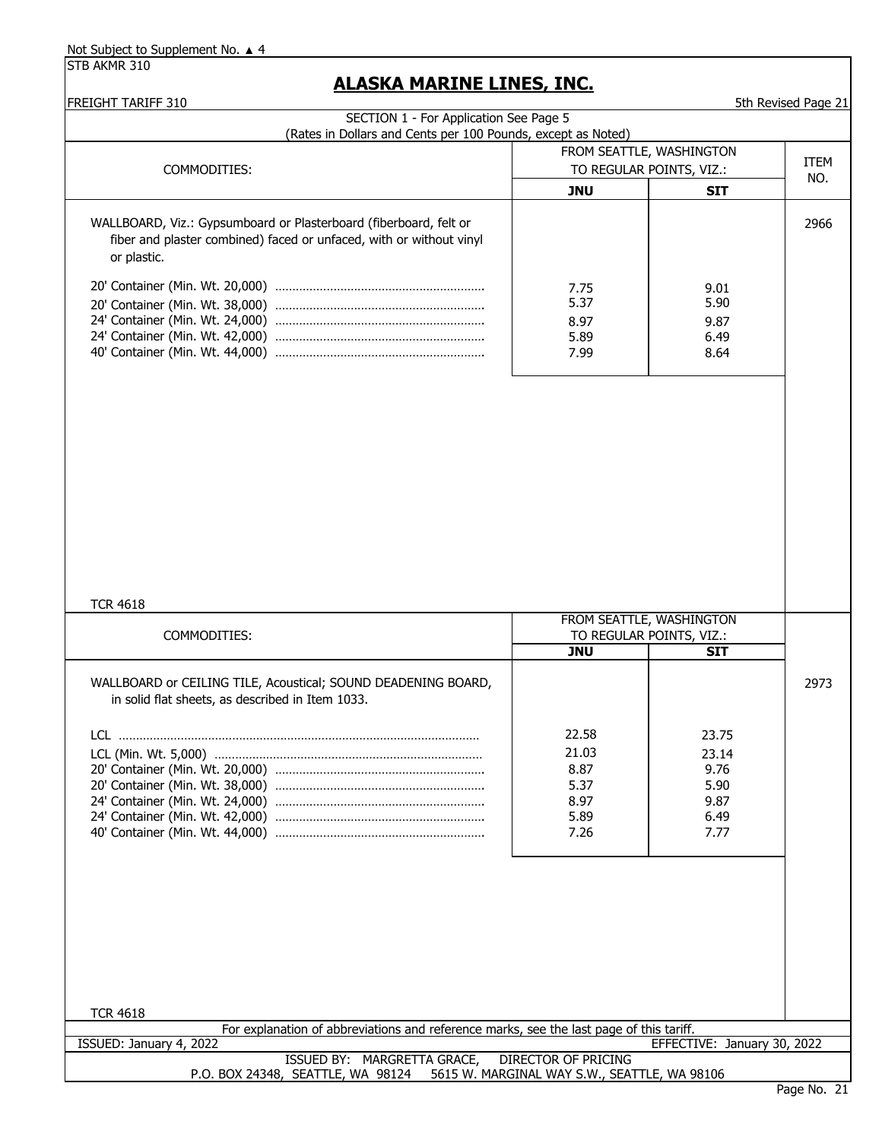## **ALASKA MARINE LINES, INC.**

FREIGHT TARIFF 310 5th Revised Page 21

| SECTION 1 - For Application See Page 5<br>(Rates in Dollars and Cents per 100 Pounds, except as Noted)                                                  |                                                        |                                                        |             |
|---------------------------------------------------------------------------------------------------------------------------------------------------------|--------------------------------------------------------|--------------------------------------------------------|-------------|
|                                                                                                                                                         | FROM SEATTLE, WASHINGTON                               |                                                        |             |
| COMMODITIES:                                                                                                                                            | TO REGULAR POINTS, VIZ.:                               |                                                        | <b>ITEM</b> |
|                                                                                                                                                         | <b>JNU</b>                                             | <b>SIT</b>                                             | NO.         |
| WALLBOARD, Viz.: Gypsumboard or Plasterboard (fiberboard, felt or<br>fiber and plaster combined) faced or unfaced, with or without vinyl<br>or plastic. | 7.75<br>5.37<br>8.97<br>5.89<br>7.99                   | 9.01<br>5.90<br>9.87<br>6.49<br>8.64                   | 2966        |
| <b>TCR 4618</b><br>COMMODITIES:                                                                                                                         | TO REGULAR POINTS, VIZ.:<br><b>JNU</b>                 | FROM SEATTLE, WASHINGTON<br><b>SIT</b>                 |             |
| WALLBOARD or CEILING TILE, Acoustical; SOUND DEADENING BOARD,<br>in solid flat sheets, as described in Item 1033.<br>LCL (Min. Wt. 5,000)               | 22.58<br>21.03<br>8.87<br>5.37<br>8.97<br>5.89<br>7.26 | 23.75<br>23.14<br>9.76<br>5.90<br>9.87<br>6.49<br>7.77 | 2973        |
|                                                                                                                                                         |                                                        |                                                        |             |
| <b>TCR 4618</b>                                                                                                                                         |                                                        |                                                        |             |
| For explanation of abbreviations and reference marks, see the last page of this tariff.                                                                 |                                                        |                                                        |             |
| ISSUED: January 4, 2022<br>ISSUED BY: MARGRETTA GRACE,                                                                                                  | <b>DIRECTOR OF PRICING</b>                             | EFFECTIVE: January 30, 2022                            |             |